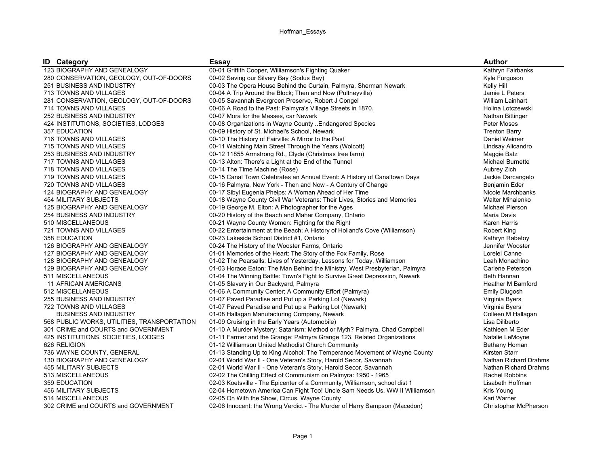## Hoffman\_Essays

| <b>ID</b> Category                          | <b>Essay</b>                                                                | <b>Author</b>                |
|---------------------------------------------|-----------------------------------------------------------------------------|------------------------------|
| 123 BIOGRAPHY AND GENEALOGY                 | 00-01 Griffith Cooper, Williamson's Fighting Quaker                         | Kathryn Fairbanks            |
| 280 CONSERVATION, GEOLOGY, OUT-OF-DOORS     | 00-02 Saving our Silvery Bay (Sodus Bay)                                    | Kyle Furguson                |
| 251 BUSINESS AND INDUSTRY                   | 00-03 The Opera House Behind the Curtain, Palmyra, Sherman Newark           | Kelly Hill                   |
| 713 TOWNS AND VILLAGES                      | 00-04 A Trip Around the Block; Then and Now (Pultneyville)                  | Jamie L Peters               |
| 281 CONSERVATION, GEOLOGY, OUT-OF-DOORS     | 00-05 Savannah Evergreen Preserve, Robert J Congel                          | William Lainhart             |
| 714 TOWNS AND VILLAGES                      | 00-06 A Road to the Past: Palmyra's Village Streets in 1870.                | Holina Lotczewski            |
| 252 BUSINESS AND INDUSTRY                   | 00-07 Mora for the Masses, car Newark                                       | Nathan Bittinger             |
| 424 INSTITUTIONS, SOCIETIES, LODGES         | 00-08 Organizations in Wayne County Endangered Species                      | Peter Moses                  |
| 357 EDUCATION                               | 00-09 History of St. Michael's School, Newark                               | <b>Trenton Barry</b>         |
| 716 TOWNS AND VILLAGES                      | 00-10 The History of Fairville: A Mirror to the Past                        | Daniel Weimer                |
| 715 TOWNS AND VILLAGES                      | 00-11 Watching Main Street Through the Years (Wolcott)                      | Lindsay Alicandro            |
| 253 BUSINESS AND INDUSTRY                   | 00-12 11855 Armstrong Rd., Clyde (Christmas tree farm)                      | Maggie Batz                  |
| 717 TOWNS AND VILLAGES                      | 00-13 Alton: There's a Light at the End of the Tunnel                       | Michael Burnette             |
| 718 TOWNS AND VILLAGES                      | 00-14 The Time Machine (Rose)                                               | Aubrey Zich                  |
| 719 TOWNS AND VILLAGES                      | 00-15 Canal Town Celebrates an Annual Event: A History of Canaltown Days    | Jackie Darcangelo            |
| 720 TOWNS AND VILLAGES                      | 00-16 Palmyra, New York - Then and Now - A Century of Change                | Benjamin Eder                |
| 124 BIOGRAPHY AND GENEALOGY                 | 00-17 Sibyl Eugenia Phelps: A Woman Ahead of Her Time                       | Nicole Marchbanks            |
| 454 MILITARY SUBJECTS                       | 00-18 Wayne County Civil War Veterans: Their Lives, Stories and Memories    | Walter Mihalenko             |
| 125 BIOGRAPHY AND GENEALOGY                 | 00-19 George M. Elton: A Photographer for the Ages                          | Michael Pierson              |
| 254 BUSINESS AND INDUSTRY                   | 00-20 History of the Beach and Mahar Company, Ontario                       | Maria Davis                  |
| 510 MISCELLANEOUS                           | 00-21 Wayne County Women: Fighting for the Right                            | <b>Karen Harris</b>          |
| 721 TOWNS AND VILLAGES                      | 00-22 Entertainment at the Beach; A History of Holland's Cove (Williamson)  | Robert King                  |
| <b>358 EDUCATION</b>                        | 00-23 Lakeside School District #1, Ontario                                  | Kathryn Rabetoy              |
| 126 BIOGRAPHY AND GENEALOGY                 | 00-24 The History of the Wooster Farms, Ontario                             | Jennifer Wooster             |
| 127 BIOGRAPHY AND GENEALOGY                 | 01-01 Memories of the Heart: The Story of the Fox Family, Rose              | Lorelei Canne                |
| 128 BIOGRAPHY AND GENEALOGY                 | 01-02 The Pearsalls: Lives of Yesterday, Lessons for Today, Williamson      | Leah Monachino               |
| 129 BIOGRAPHY AND GENEALOGY                 | 01-03 Horace Eaton: The Man Behind the Ministry, West Presbyterian, Palmyra | Carlene Peterson             |
| 511 MISCELLANEOUS                           | 01-04 The Winning Battle: Town's Fight to Survive Great Depression, Newark  | Beth Hannan                  |
| 11 AFRICAN AMERICANS                        | 01-05 Slavery in Our Backyard, Palmyra                                      | <b>Heather M Bamford</b>     |
| 512 MISCELLANEOUS                           | 01-06 A Community Center; A Community Effort (Palmyra)                      | <b>Emily Dlugosh</b>         |
| 255 BUSINESS AND INDUSTRY                   | 01-07 Paved Paradise and Put up a Parking Lot (Newark)                      | Virginia Byers               |
| 722 TOWNS AND VILLAGES                      | 01-07 Paved Paradise and Put up a Parking Lot (Newark)                      | Virginia Byers               |
| <b>BUSINESS AND INDUSTRY</b>                | 01-08 Hallagan Manufacturing Company, Newark                                | Colleen M Hallagan           |
| 568 PUBLIC WORKS, UTILITIES, TRANSPORTATION | 01-09 Cruising in the Early Years (Automobile)                              | Lisa Diliberto               |
| 301 CRIME and COURTS and GOVERNMENT         | 01-10 A Murder Mystery; Satanism: Method or Myth? Palmyra, Chad Campbell    | Kathleen M Eder              |
| 425 INSTITUTIONS, SOCIETIES, LODGES         | 01-11 Farmer and the Grange: Palmyra Grange 123, Related Organizations      | Natalie LeMoyne              |
| 626 RELIGION                                | 01-12 Williamson United Methodist Church Community                          | Bethany Homan                |
| 736 WAYNE COUNTY, GENERAL                   | 01-13 Standing Up to King Alcohol: The Temperance Movement of Wayne County  | Kirsten Starr                |
| 130 BIOGRAPHY AND GENEALOGY                 | 02-01 World War II - One Veteran's Story, Harold Secor, Savannah            | Nathan Richard Drahms        |
| 455 MILITARY SUBJECTS                       | 02-01 World War II - One Veteran's Story, Harold Secor, Savannah            | Nathan Richard Drahms        |
| 513 MISCELLANEOUS                           | 02-02 The Chilling Effect of Communism on Palmyra: 1950 - 1965              | <b>Rachel Robbins</b>        |
| 359 EDUCATION                               | 02-03 Koetsville - The Epicenter of a Community, Williamson, school dist 1  | Lisabeth Hoffman             |
| 456 MILITARY SUBJECTS                       | 02-04 Hometown America Can Fight Too! Uncle Sam Needs Us, WW II Williamson  | Kris Young                   |
| 514 MISCELLANEOUS                           | 02-05 On With the Show, Circus, Wayne County                                | Kari Warner                  |
| 302 CRIME and COURTS and GOVERNMENT         | 02-06 Innocent; the Wrong Verdict - The Murder of Harry Sampson (Macedon)   | <b>Christopher McPherson</b> |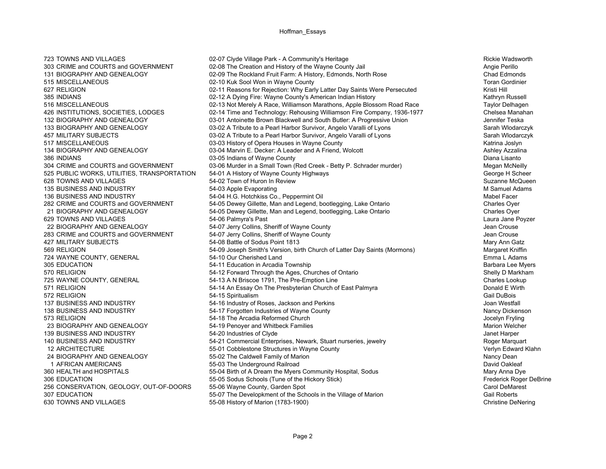723 TOWNS AND VILLAGES **12-12 COMPTAND 12-07 Clyde Village Park - A Community's Heritage Rickie Wadsworth Rickie Wadsworth** 303 CRIME and COURTS and GOVERNMENT 02-08 The Creation and History of the Wayne County Jail 303 CRIME and COURTS and GOVERNMENT 02-09 The Rockland Fruit Farm: A History Fedmonds North Rose 6. The Chad Fedmonds North Rose 131 BIOGRAPHY AND GENEALOGY 02-09 The Rockland Fruit Farm: A History, Edmonds, North Rose 515 MISCELLANEOUS 02-10 Kuk Sool Won in Wayne County Toran Gordinier 627 RELIGION 02-11 Reasons for Rejection: Why Early Latter Day Saints Were Persecuted Kristi Hill 385 INDIANS **1986 COLLET CONSULTS A Development County's American Indian History** 1986 1997 12:48 American Indian History 1997 12:48 American Indian History 1997 12:48 American Indian History 1997 12:48 12:49 12:49 12:49 1 516 MISCELLANEOUS 02-13 Not Merely A Race, Williamson Marathons, Apple Blossom Road Race Taylor Delhagen 426 INSTITUTIONS, SOCIETIES, LODGES 02-14 Time and Technology: Rehousing Williamson Fire Company, 1936-1977 Chelsea Manahan 132 BIOGRAPHY AND GENEALOGY 1999 103-01 Antoinette Brown Blackwell and South Butler: A Progressive Union 1999 1<br>193 BIOGRAPHY AND GENEALOGY 1999 103-02 A Tribute to a Pearl Harbor Survivor, Angelo Varalli of Lyons 133 BIOGRAPHY AND GENEALOGY 03-02 A Tribute to a Pearl Harbor Survivor, Angelo Varalli of Lyons 457 MILITARY SUBJECTS **1980 COVERSITY OS-02 A Tribute to a Pearl Harbor Survivor, Angelo Varalli of Lyons** Sarah Wlodarczyk 517 MISCELLANEOUS **12.000 MISCELLANEOUS** 03-03 History of Opera Houses in Wayne County 1988 1998 Matrina Joslyn 134 BIOGRAPHY AND GENEALOGY **128-04 Marvin E. Decker: A Leader and A Friend, Wolcott** Ashley Azzalina Ashley Azzalina 386 INDIANS Diana Lisanto **Diana Lisanto** 03-05 Indians of Wayne County **Diana Lisanto** Diana Lisanto 304 CRIME and COURTS and GOVERNMENT 03-06 Murder in a Small Town (Red Creek - Betty P. Schrader murder) Megan McNeilly 525 PUBLIC WORKS, UTILITIES, TRANSPORTATION 54-01 A History of Wayne County Highways George H Scheer George H Scheer 628 TOWNS AND VILLAGES **628 TOWNS AND SULFERS CONTROLLER STATES AND SUZANNE SUZANNE SUZANNE SUZANNE SUZANNE SUZANNE MCQueen** 135 BUSINESS AND INDUSTRY **120-1200** 54-03 Apple Evaporating **SAME SERVICES** And The Samuel Adams 136 BUSINESS AND INDUSTRY 54-04 H.G. Hotchkiss Co., Peppermint Oil Mabel Facer 282 CRIME and COURTS and GOVERNMENT 54-05 Dewey Gillette, Man and Legend, bootlegging, Lake Ontario Charles Oyer 21 BIOGRAPHY AND GENEALOGY 54-05 Dewey Gillette, Man and Legend, bootlegging, Lake Ontario Charles Oyer 629 TOWNS AND VILLAGES **629 TOWNS AND VILLAGES** 64-06 Palmyra's Past Campion of Campion Control of Laura Jane Poyzer 22 BIOGRAPHY AND GENEALOGY 54-07 Jerry Collins, Sheriff of Wayne County Jean Crouse 283 CRIME and COURTS and GOVERNMENT 54-07 Jerry Collins, Sheriff of Wayne County 1988 CRIME and COURTS and Crouse 427 MILITARY SUBJECTS **1980 CONTRACT SETS** 54-08 Battle of Sodus Point 1813 **Mary Ann Gatz** Mary Ann Gatz 569 RELIGION 54-09 Joseph Smith's Version, birth Church of Latter Day Saints (Mormons) Margaret Kniffin 724 WAYNE COUNTY, GENERAL **54-10 Our Cherished Land** Emma L Adams **Emma L Adams** 305 EDUCATION 54-11 Education in Arcadia Township Barbara Lee Myers Barbara Lee Myers 570 RELIGION 54-12 Forward Through the Ages, Churches of Ontario 54-12 Forward Through the Ages, Churches of Ontario 725 WAYNE COUNTY, GENERAL **54-13 A N Briscoe 1791, The Pre-Emption Line** Charles Lookup 571 RELIGION 54-14 An Essay On The Presbyterian Church of East Palmyra 54-14 An Essay On The Presbyterian Church of East Palmyra 572 RELIGION 54-15 Spiritualism Gail DuBois 137 BUSINESS AND INDUSTRY **54-16** Industry of Roses, Jackson and Perkins **128 COVID-100** Joan Westfall 138 BUSINESS AND INDUSTRY 54-17 Forgotten Industries of Wayne County Nancy Dickenson 54-18 The Arcadia Reformed Church States and Church Jocelyn Fryling Jocelyn Fryling 23 BIOGRAPHY AND GENEALOGY **54-19 Penoyer and Whitbeck Families** Marion Welcher Marion Welcher 139 BUSINESS AND INDUSTRY **54-20 Industries of Clyde** And The Second Version of Clyde 140 BUSINESS AND INDUSTRY 54-21 Commercial Enterprises, Newark, Stuart nurseries, jewelry Roger Marquart 12 ARCHITECTURE 55-01 Cobblestone Structures in Wayne County Verlyn Edward Klahn 24 BIOGRAPHY AND GENEALOGY **55-02 The Caldwell Family of Marion** Nancy Dean Nancy Dean 1 AFRICAN AMERICANS 55-03 The Underground Railroad David Oakleaf 360 HEALTH and HOSPITALS **360 HEALTH and HOSPITALS** 55-04 Birth of A Dream the Myers Community Hospital, Sodus Mary Anna Dye<br>306 EDUCATION Frederick Roger 55-05 Sodus Schools (Tune of the Hickory Stick) 55-05 Sodus Schools (Tune of the Hickory Stick) Frederick Roger DeBrine 256 CONSERVATION, GEOLOGY, OUT-OF-DOORS 55-06 Wayne County, Garden Spot Carol Carol DeMarest Carol DeMarest 307 EDUCATION 55-07 The Developkment of the Schools in the Village of Marion 307 EDUCATION 55-08 Cail Roberts<br>630 TOWNS AND VILLAGES 65-08 Fistory of Marion (1783-1900) 630 TOWNS AND VILLAGES 55-08 History of Marion (1783-1900) Christine DeNering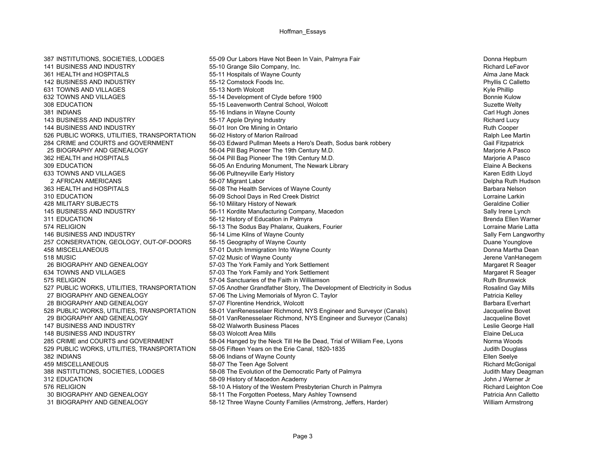142 BUSINESS AND INDUSTRY 55-12 Comstock Foods Inc.631 TOWNS AND VILLAGES 631 TOWNS AND VILLAGES 308 EDUCATION 55-15 Leavenworth Central School, Wolcott 362 HEALTH and HOSPITALS 56-04 Pill Bag Pioneer The 19th Century M.D. 148 BUSINESS AND INDUSTRY 58-03 Wolcott Area Mills312 EDUCATION 58-09 History of Macedon Academy 30 BIOGRAPHY AND GENEALOGY **1989 12 SS-11 The Forgotten Poetess, Mary Ashley Townsend** 130 BIOGRAPHY AND GENEALOGY<br>31 BIOGRAPHY AND GENEALOGY 1999 12 Three Wayne County Families (Armstrong, Jeffers, Harder) 1999 1999 1999 31 BIOGRAPHY AND GENEALOGY 58-12 Three Wayne County Families (Armstrong, Jeffers, Harder)

387 INSTITUTIONS, SOCIETIES, LODGES 55-09 Our Labors Have Not Been In Vain, Palmyra Fair Donna Hepburn 141 BUSINESS AND INDUSTRY **100 COMPANY** 55-10 Grange Silo Company, Inc. **And Structure Company, Inc.** Richard LeFavor 361 HEALTH and HOSPITALS **55-11 Hospitals of Wayne County 55-11 Hospitals of Wayne County** Alma Jane Mack 632 TOWNS AND VILLAGES **632 TOWNS AND VILLAGES** 65-14 Development of Clyde before 1900<br>308 EDUCATION Bonnie Kulow 55-15 Leavenworth Central School. Wolcott 6-1900 381 INDIANS Carl Hugh Jones 55-16 Indians in Wayne County Carl Hugh Jones Carl Hugh Jones Carl Hugh Jones Carl Hugh Jones 143 BUSINESS AND INDUSTRY THE STATE STATE STATE OF STATE STATE STATE STATE STATE STATE STATE STATE STATE STATE<br>144 BUSINESS AND INDUSTRY THE STATE STATE STATE STATE STATE STATE STATE STATE STATE STATE STATE STATE STATE ST 56-01 Iron Ore Mining in Ontario 526 PUBLIC WORKS, UTILITIES, TRANSPORTATION 56-02 History of Marion Railroad Ralph Lee Martin Ralph Lee Martin 284 CRIME and COURTS and GOVERNMENT 56-03 Edward Pullman Meets a Hero's Death, Sodus bank robbery Gail Fitzpatrick 25 BIOGRAPHY AND GENEALOGY 25 B-04 Pill Bag Pioneer The 19th Century M.D.<br>362 HEALTH and HOSPITALS 2010 19th S6-04 Pill Bag Pioneer The 19th Century M.D. 309 EDUCATION 56-05 An Enduring Monument, The Newark Library Elaine A Beckens 633 TOWNS AND VILLAGES 65-06 Pultneyville Early History 633 TOWNS AND VILLAGES 66-06 Pultneyville Early History<br>2 AFRICAN AMERICANS 65-07 Migrant Labor 66-07 Migrant Labor 66-07 Migrant Labor 66-07 Migrant Labor 66-07 Migr 2 AFRICAN AMERICANS **2 AFRICANS** 56-07 Migrant Labor 2 AFRICAN AMERICANS Delpha Ruth Hudson 363 HEALTH and HOSPITALS **56-08 The Health Services of Wayne County 1988** Mayne County Barbara Nelson 310 EDUCATION 56-09 School Days in Red Creek District Lorraine Larkin 428 MILITARY SUBJECTS **1.1 COLLIN 2006** 56-10 Military History of Newark **Figure 2006** 10 Military History of Newark 145 BUSINESS AND INDUSTRY **56-11 Kordite Manufacturing Company, Macedon** Sally Irene Lynch Sally Irene Lynch 311 EDUCATION 56-12 History of Education in Palmyra Brenda Ellen Warner Brenda Ellen Warner 574 RELIGION 56-13 The Sodus Bay Phalanx, Quakers, Fourier Lorraine Marie Latta 146 BUSINESS AND INDUSTRY **56-14 Lime Kilns of Wayne County** Sally Fern Langworthy Sally Fern Langworthy 257 CONSERVATION, GEOLOGY, OUT-OF-DOORS 56-15 Geography of Wayne County Dealer State Company of Wayne County Duane Younglove 458 MISCELLANEOUS **1988** S7-01 Dutch Immigration Into Wayne County **1988** MISCELLANEOUS Donna Martha Dean 57-02 Music of Wayne County County County ST-02 Music of Wayne County County County County Jerene VanHanegem 26 BIOGRAPHY AND GENEALOGY **57-03** The York Family and York Settlement Margaret R Seager 634 TOWNS AND VILLAGES **67-03** The York Family and York Settlement Margaret R Seager Margaret R Seager 575 RELIGION 67-04 Sanctuaries of the Faith in Williamson 57-04 Sanctuaries of the Faith in Williamson 527 PUBLIC WORKS, UTILITIES, TRANSPORTATION 57-05 Another Grandfather Story, The Development of Electricity in Sodus Rosalind Gay Mills 27 BIOGRAPHY AND GENEALOGY 67-06 The Living Memorials of Myron C. Taylor Patricia Kelley Patricia Kelley 28 BIOGRAPHY AND GENEALOGY **57-07 Florentine Hendrick, Wolcott** Barbara Everhart Barbara Everhart 528 PUBLIC WORKS, UTILITIES, TRANSPORTATION 58-01 VanRenesselaer Richmond, NYS Engineer and Surveyor (Canals) Jacqueline Bovet 29 BIOGRAPHY AND GENEALOGY 58-01 VanRenesselaer Richmond, NYS Engineer and Surveyor (Canals) Jacqueline Bovet 147 BUSINESS AND INDUSTRY **100 CONTRAGES AND INDUSTRY** 58-02 Walworth Business Places **Contract Contract Contract Contract Contract Contract Contract Contract Contract Contract Contract Contract Contract Contract Contract** 285 CRIME and COURTS and GOVERNMENT 58-04 Hanged by the Neck Till He Be Dead, Trial of William Fee, Lyons Norma Woods 529 PUBLIC WORKS, UTILITIES, TRANSPORTATION 58-05 Fifteen Years on the Erie Canal, 1820-1835 Judith Douglass Judith Douglass 382 INDIANS Ellen Seelye 58-06 Indians of Wayne County Sample of Marketine Seelye Ellen Seelye 459 MISCELLANEOUS 68-07 The Teen Age Solvent 1999 of Palmyra and McGonigal Richard McGonigal 1999 of the Teen Age Solvent 1999 of Palmyra 1999 of Palmyra 1999 of McGonigal 1999 of St. LODGES 58-08 The Evolution of the Demo 38-08 The Evolution of the Democratic Party of Palmyra **38-08 The Evolution of the Democratic Party of Palmyra** Judith Mary Deagmann St. 2014.<br>1999 - John J Werner Jr 576 RELIGION 58-10 A History of the Western Presbyterian Church in Palmyra Church in Palmyra

 Phyllis C Calletto Kyle Phillip Elaine DeLuca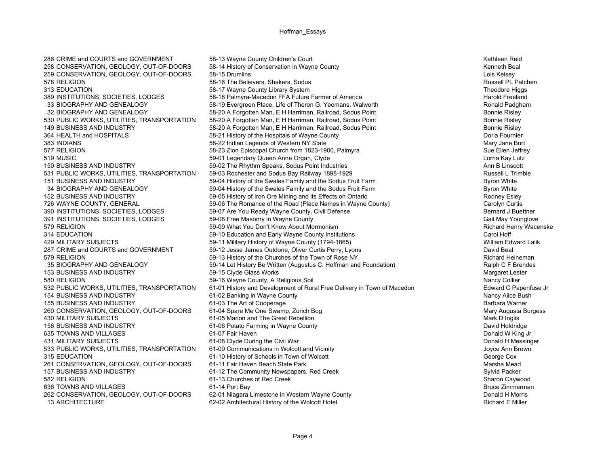286 CRIME and COURTS and GOVERNMENT 58-13 Wayne County Children's Court 36-13 Wayne County Children's Court 36-13 Wayne County Children's Court 36-13 Wayne County Children's Court 36-13 Wayne County Children's Court 36-13 314 EDUCATION 59-10 Education and Early Wayne County Institutions County Institutions 430 MILITARY SUBJECTS 61-05 Marion and The Great Rebellion 635 TOWNS AND VILLAGES 61-07 Fair Haven431 MILITARY SUBJECTS 61-08 Clyde During the Civil War

258 CONSERVATION, GEOLOGY, OUT-OF-DOORS 58-14 History of Conservation in Wayne County The State of The State Kenneth Beal 259 CONSERVATION, GEOLOGY, OUT-OF-DOORS 58-15 Drumlins Lois Kelsey 578 RELIGION 68-16 The Believers, Shakers, Sodus 65-16 The Believers, Shakers, Sodus 65-16 The Believers, Shakers, Sodus 65-16 The Believers, Shakers, Sodus 65-16 The Believers, Shakers, Sodus 65-16 The Believers, Shakers, 313 EDUCATION 58-17 Wayne County Library System 56-17 Wayne County Library System 389 INSTITUTIONS. SOCIETIES. LODGES<br>389 INSTITUTIONS. SOCIETIES. LODGES 58-18 Palmyra-Macedon FFA Future Farmer of America 58-18 Palmyra-Macedon FFA Future Farmer of America 33 BIOGRAPHY AND GENEALOGY **58-19 Evergreen Place, Life of Theron G. Yeomans**, Walworth Ronald Padgham 32 BIOGRAPHY AND GENEALOGY **58-20 A Forgotten Man, E H Harriman, Railroad, Sodus Point** Bonnie Risley Bonnie Risley 530 PUBLIC WORKS, UTILITIES, TRANSPORTATION 58-20 A Forgotten Man, E H Harriman, Railroad, Sodus Point France<br>149 BUSINESS AND INDUSTRY FRANSPORTATION 58-20 A Forgotten Man, E H Harriman, Railroad, Sodus Point France Risle 149 Business And Industry Search States And Industry 58-20 A Forgotten Man, E H Harriman, Railroad, Sodus Point Bonnie Risley 364 HEALTH and HOSPITALS **58-21 History of the Hospitals of Wayne County** Department of Mayne County Dorla Fournier 383 INDIANS Mary Jane Burt 58-22 Indian Legends of Western NY State Mary Jane Burt Mary Jane Burt 577 RELIGION 577 RELIGION 58-23 Zion Episcopal Church from 1823-1900, Palmyra 56-23 Sue Ellen Jeffrey 519 MUSIC 59-01 Legendary Queen Anne Organ, Clyde Lorna Kay Lutz 150 BUSINESS AND INDUSTRY **150 BUSINESS** AND INDUSTRY 59-02 The Rhythm Speaks, Sodus Point Industries Ann B Linscott 531 PUBLIC WORKS, UTILITIES, TRANSPORTATION 59-03 Rochester and Sodus Bay Railway 1898-1929 Russell L Trimble 151 BUSINESS AND INDUSTRY 59-04 History of the Swales Family and the Sodus Fruit Farm Byron White 34 BIOGRAPHY AND GENEALOGY **59-04 History of the Swales Family and the Sodus Fruit Farm** Byron White 152 BUSINESS AND INDUSTRY 59-05 History of Iron Ore Mining and its Effects on Ontario Rodney Esley 726 WAYNE COUNTY, GENERAL 59-06 The Romance of the Road (Place Names in Wayne County) Carolyn Curtis 390 INSTITUTIONS, SOCIETIES, LODGES 69-07 Are You Ready Wayne County, Civil Defense and the state and J Buettner 391 INSTITUTIONS, SOCIETIES, LODGES 69-08 Free Masonry in Wayne County Gail May Town of Gail May Younglove 579 RELIGION 69 Million 1990 States of the Senator States of the Senator States of the Senator States of the S<br>1999 States of Education and Early Wayne County Institutions and the Senator Scarol Hoff Carol Hoff Carol Hoff 429 MILITARY SUBJECTS **19-11 Military History of Wayne County (1794-1865)** MILITARY SUBJECTS William Edward Lalik 287 CRIME and COURTS and GOVERNMENT 59-12 Jesse James Outdone, Oliver Curtis Perry, Lyons David Beal 579 RELIGION 579 RELIGION 59-13 History of the Churches of the Town of Rose NY 35 BIOGRAPHY AND GENEALOGY 59-14 Let History Be Written (Augustus C. Hoffman and Foundation) Ralph C F Brendes 153 BUSINESS AND INDUSTRY **159-15 Clyde Glass Works** Margaret Lester Margaret Lester 580 RELIGION 59-16 Wayne County, A Religious Soil Nancy Collier 532 PUBLIC WORKS, UTILITIES, TRANSPORTATION 61-01 History and Development of Rural Free Delivery in Town of Macedon Edward C Papenfuse Jr 154 BUSINESS AND INDUSTRY **154 BUSINESS** AND INDUSTRY 61-02 Banking in Wayne County Nancy Alice Bush Nancy Alice Bush 155 BUSINESS AND INDUSTRY **61-03** The Art of Cooperage **Barbara Warner** Barbara Warner 260 CONSERVATION, GEOLOGY, OUT-OF-DOORS 61-04 Spare Me One Swamp, Zurich Bog 260 CONSERVATION, GEOLOGY, OUT-OF-DOORS 61-05 Marion and The Great Rebellion 30 Mary Augusta Burgess 61-05 Marion and The Great Rebellion 156 BUSINESS AND INDUSTRY **61-06 Potato Farming in Wayne County 61-06 Potato Farming in Wayne County David Holdridge** 533 PUBLIC WORKS, UTILITIES, TRANSPORTATION 61-09 Communications in Wolcott and Vicinity Junchess Ann Brown Joyce Ann Brown 315 EDUCATION 61-10 History of Schools in Town of Wolcott 61-10 History of Schools in Town of Wolcott 261 CONSERVATION, GEOLOGY, OUT-OF-DOORS 61-11 Fair Haven Beach State Park Marsha Mead Marsha Mead Marsha Mead 157 BUSINESS AND INDUSTRY THE STATE OF A SAMILY OF A SAMILY OF A SAMILY OF A SAMILY AND SAMILY AND SAMILY AND<br>1991 The Community Newspapers, Red Creek Sylvia Packer Sharon Cayword Caywords of Sharon Caywords of Red Creek 582 RELIGION 61-13 Churches of Red Creek Sharon Caywood 636 TOWNS AND VILLAGES **61-14 Port Bay** 61-14 Port Bay Bruce Zimmerman **Bruce Zimmerman** 262 CONSERVATION, GEOLOGY, OUT-OF-DOORS 62-01 Niagara Limestone in Western Wayne County **Donald HIMORY CONSERVATION**, GEOLOGY, OUT-OF-DOORS 13 ARCHITECTURE **13 ARCHITECTURE** 62-02 Architectural History of the Wolcott Hotel **1996 12 Architectural History of the Wolcott Hotel** 1996 **12 Architectural Architectural Architectural Architectural Architectural Archi** 

Donald W King Jr<br>Donald H Messinger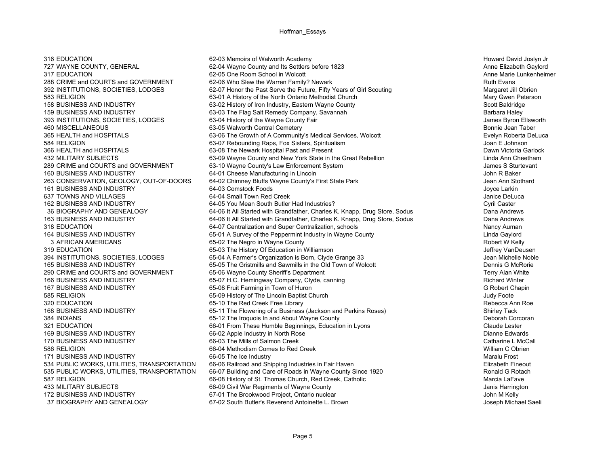317 EDUCATION 62-05 One Room School in Wolcott 161 BUSINESS AND INDUSTRY 64-03 Comstock Foods170 BUSINESS AND INDUSTRY 66-03 The Mills of Salmon Creek 37 BIOGRAPHY AND GENEALOGY 67-02 South Butler's Reverend Antoinette L. Brown

316 EDUCATION **1980 COMEDIATION** 62-03 Memoirs of Walworth Academy **COMEDIATION** Howard David Joslyn Jr 727 WAYNE COUNTY, GENERAL **62-04 Wayne County and Its Settlers before** 1823 **Anne Elizabeth Gaylord**<br>317 EDUCATION Anne Marie Lunkenheimer 288 CRIME and COURTS and GOVERNMENT 62-06 Who Slew the Warren Family? Newark 288 CRIME and COURTS and GOVERNMENT 392 INSTITUTIONS, SOCIETIES, LODGES 62-07 Honor the Past Serve the Future, Fifty Years of Girl Scouting Margaret Jill Obrien<br>63-01 A History of the North Ontario Methodist Church (Margaret July Owen Peterson 583 RELIGION Mary Gwen Peterson 63-01 A History of the North Ontario Methodist Church Mary Gwen Peterson Mary Gwen Peterson 63-02 History of Iron Industry, Eastern Wayne County County Scott Baldridge 158 BUSINESS AND INDUSTRY 63-02 History of Iron Industry, Eastern Wayne County 159 BUSINESS AND INDUSTRY **63-03 The Flag Salt Remedy Company, Savannah** Barbara Haley Barbara Haley 393 INSTITUTIONS, SOCIETIES, LODGES 63-04 History of the Wayne County Fair and the Mayne County Fair and the Mayne County Fair and the Wayne County Fair and the Mayne County Fair and the Mayne County Fair James Byron Ellsw 63-05 Walworth Central Cemetery 365 HEALTH and HOSPITALS **63-06 The Growth of A Community's Medical Services, Wolcott** 63-06 The Growth of A Community's Medical Services, Wolcott 584 RELIGION 63-07 Rebounding Raps, Fox Sisters, Spiritualism Joan E Johnson 366 HEALTH and HOSPITALS **63-08 The Newark Hospital Past and Present** Computer Computer Computer Dawn Victoria Garlock 432 MILITARY SUBJECTS **63-09 Wayne County and New York State in the Great Rebellion** Linda Ann Cheetham 289 CRIME and COURTS and GOVERNMENT 63-10 Wayne County's Law Enforcement System James S Sturtevant 160 BUSINESS AND INDUSTRY **64-01 Cheese Manufacturing in Lincoln** John R Baker 263 CONSERVATION, GEOLOGY, OUT-OF-DOORS 64-02 Chimney Bluffs Wayne County's First State Park Jean Ann Stothard 637 TOWNS AND VILLAGES **64-04 Small Town Red Creek** 64-04 Small Town Red Creek 30 TOWNS AND VILLAGES 162 BUSINESS AND INDUSTRY 64-05 You Mean South Butler Had Industries? Cyril Caster 36 BIOGRAPHY AND GENEALOGY 64-06 It All Started with Grandfather, Charles K. Knapp, Drug Store, Sodus Dana Andrews 163 BUSINESS AND INDUSTRY 64-06 It All Started with Grandfather, Charles K. Knapp, Drug Store, Sodus Dana Andrews 318 EDUCATION 64-07 Centralization and Super Centralization, schools Nancy Auman 164 BUSINESS AND INDUSTRY **65-01 A Survey of the Peppermint Industry in Wayne County** 164 BUSINESS AND INDUSTRY 3 AFRICAN AMERICANS **65-02 The Negro in Wayne County 65-02 The Negro in Wayne County 1988** 319 EDUCATION 65-03 The History Of Education in Williamson 65-03 The History Of Education in Williamson 394 INSTITUTIONS, SOCIETIES, LODGES 65-04 A Farmer's Organization is Born, Clyde Grange 33 Jean Michelle Noble 165 BUSINESS AND INDUSTRY 65-05 The Gristmills and Sawmills in the Old Town of Wolcott Dennis G McRorie290 CRIME and COURTS and GOVERNMENT 65-06 Wayne County Sheriff's Department Terry Alan White 166 BUSINESS AND INDUSTRY **65-07 H.C. Hemingway Company, Clyde, canning** and the material resolution of the Richard Winter 167 BUSINESS AND INDUSTRY **65-08 Fruit Farming in Town of Huron** 66-08 Fruit Farming in Town of Huron G Robert Chapin 585 RELIGION 65-09 History of The Lincoln Baptist Church 1996 Church 355 RELIGION 3000 History of The Lincoln Baptist Church 3000 Foote 320 EDUCATION **65-10 The Red Creek Free Library Rebecca Ann Roe** Rebecca Ann Roe 168 BUSINESS AND INDUSTRY THE STRIP AND AND THE Flowering of a Business (Jackson and Perkins Roses) Shirley Tack<br>1994 INDIANS The Strip Ann About Wavne County County Strip Deborah Corcoran 65-12 The Iroquois In and About Wayne County 321 EDUCATION 66-01 From These Humble Beginnings, Education in Lyons Claude Lester 169 BUSINESS AND INDUSTRY THE SECTION OF SECTION OF A SECTION OF SECTION OF SECTION OF SECTION OF SECTION OF S<br>170 BUSINESS AND INDUSTRY THE SECTION OF SALES AND SALES ARE SALES OF SALES OF SALES AND SALES AND INCOAL SALE 586 RELIGION 66-04 Methodism Comes to Red Creek William C Obrien171 BUSINESS AND INDUSTRY **66-05 The Ice Industry 66-05 The Ice Industry CONSTRIBUTION** 534 PUBLIC WORKS, UTILITIES, TRANSPORTATION 66-06 Railroad and Shipping Industries in Fair Haven 66-07 Public WORKS, UTILITIES, TRANSPORTATION 66-07 Building and Care of Roads in Wayne County Since 1920 6 1990 Ronald G Rot 535 PUBLIC WORKS, UTILITIES, TRANSPORTATION 66-07 Building and Care of Roads in Wayne County Since 1920 Ronald G Rotach Red Creek. Catholic County Since 1920 Ronald G Rotach Red Creek. Catholic County Since 1920 Ronald G R 66-08 History of St. Thomas Church, Red Creek, Catholic 433 MILITARY SUBJECTS **1980 COLL ACCOMPT AND ACCOMPT ACCOMPT** 66-09 Civil War Regiments of Wayne County 1990 County 172 BUSINESS AND INDUSTRY 67-01 The Brookwood Project, Ontario nuclear John M Kelly<br>37 BIOGRAPHY AND GENEALOGY 67-02 South Butler's Reverend Antoinette L. Brown

Joyce Larkin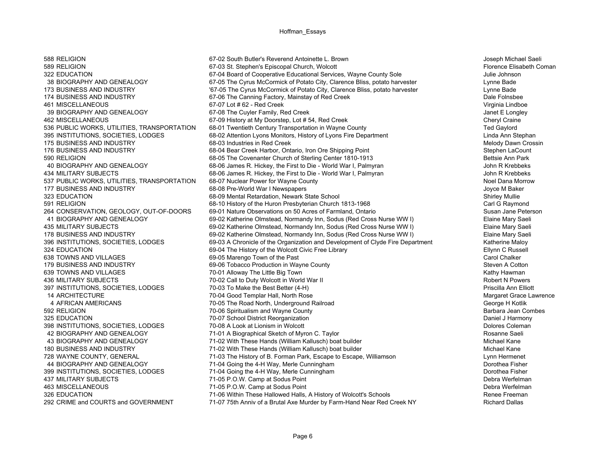461 MISCELLANEOUS 67-07 Lot # 62 - Red Creek437 MILITARY SUBJECTS 71-05 P.O.W. Camp at Sodus Point

588 RELIGION 67-02 South Butler's Reverend Antoinette L. Brown Joseph Michael Saeli 589 RELIGION 67-03 St. Stephen's Episcopal Church, Wolcott 67-03 St. Stephen's Episcopal Church, Wolcott 67-03 322 EDUCATION 67-04 Board of Cooperative Educational Services, Wayne County Sole 30 and 500 Julie Johnson 38 BIOGRAPHY AND GENEALOGY 67-05 The Cyrus McCormick of Potato City, Clarence Bliss, potato harvester Lynne Bade 173 BUSINESS AND INDUSTRY **The Cyrus McCormick of Potato City, Clarence Bliss**, potato harvester **Commich State Cyrus Bade**<br>174 BUSINESS AND INDUSTRY **174 BUSINESS AND INDUSTRY** Dale Folnsbee 174 BUSINESS AND INDUSTRY 67-06 The Canning Factory, Mainstay of Red Creek 39 BIOGRAPHY AND GENEALOGY 67-08 The Cuyler Family, Red Creek 39 BIOGRAPHY AND GENEALOGY 462 MISCELLANEOUS 67-09 History at My Doorstep, Lot # 54, Red Creek 67-09 History at My Doorstep, Lot # 54, Red Creek<br>1996 PUBLIC WORKS, UTILITIES, TRANSPORTATION 68-01 Twentieth Century Transportation in Wayne County 536 PUBLIC WORKS, UTILITIES, TRANSPORTATION 68-01 Twentieth Century Transportation in Wayne County 395 INSTITUTIONS, SOCIETIES, LODGES 68-02 Attention Lyons Monitors, History of Lyons Fire Department Linda Ann Stephan 175 BUSINESS AND INDUSTRY **175 BUSINESS AND INDUSTRY** 68-03 Industries in Red Creek Melody Dawn Crossin 176 BUSINESS AND INDUSTRY **176 BUSINESS AND INDUSTRY** 68-04 Bear Creek Harbor, Ontario, Iron Ore Shipping Point 1909 and the Count of Stephen LaCount 68-05 The Covenanter Church of Sterling Center 1810-1913 590 RELIGION 68-05 The Covenanter Church of Sterling Center 1810-1913 40 BIOGRAPHY AND GENEALOGY 68-06 James R. Hickey, the First to Die - World War I, Palmyran John R Krebbeks 434 MILITARY SUBJECTS 68-06 James R. Hickey, the First to Die - World War I, Palmyran John R Krebbeks 537 PUBLIC WORKS, UTILITIES, TRANSPORTATION 68-07 Nuclear Power for Wayne County Network Noel Dana Morrow Noel Dana Morrow 177 BUSINESS AND INDUSTRY 68-08 Pre-World War I Newspapers Joyce M Baker 323 EDUCATION 68-09 Mental Retardation, Newark State School Shirley Mullie 591 RELIGION 68-10 History of the Huron Presbyterian Church 1813-1968 Carl G Raymond 264 CONSERVATION, GEOLOGY, OUT-OF-DOORS 69-01 Nature Observations on 50 Acres of Farmland, Ontario Susan Jane Peterson 41 BIOGRAPHY AND GENEALOGY 69-02 Katherine Olmstead, Normandy Inn, Sodus (Red Cross Nurse WW I) Elaine Mary Saeli 435 MILITARY SUBJECTS 69-02 Katherine Olmstead, Normandy Inn, Sodus (Red Cross Nurse WW I) Elaine Mary Saeli 178 BUSINESS AND INDUSTRY 69-02 Katherine Olmstead, Normandy Inn, Sodus (Red Cross Nurse WW I) Elaine Mary Saeli 396 INSTITUTIONS, SOCIETIES, LODGES 69-03 A Chronicle of the Organization and Development of Clyde Fire Department Katherine Maloy 324 EDUCATION 69-04 The History of the Wolcott Civic Free Library Changes and Changes and Changes and Changes Russell 638 TOWNS AND VILLAGES 69-05 Marengo Town of the Past Carol Chalker 179 BUSINESS AND INDUSTRY **69-06 Tobacco Production in Wayne County** 69-06 Tobacco Production in Wayne County 639 TOWNS AND VILLAGES 70-01 Alloway The Little Big Town Kathy Hawman 436 MILITARY SUBJECTS TO LODGES AND THE READ ON THE READ ON THE READ OF COLLECT AND THE READ OF THE READ OF TH<br>1997 INSTITUTIONS, SOCIETIES, LODGES 2009 70-03 To Make the Best Better (4-H) 397 INSTITUTIONS, SOCIETIES, LODGES 70-03 To Make the Best Better (4-H) 937 INSTITUTIONS, SOCIETIES, LODGES 14 ARCHITECTURE COMPUTE THE 70-04 Good Templar Hall, North Rose Computer Margaret Grace Lawrence 4 AFRICAN AMERICANS 70-05 The Road North, Underground Railroad George H Kotlik 592 RELIGION **1986 COUNT 1000 Spiritualism and Wayne County** 10-06 Spiritualism and Wayne County 10-07 School District Reorganization 10000 Spiritualism and Wayne County 10-07 School District Reorganization 10000 Spiritual 325 EDUCATION 70-07 School District Reorganization Daniel J Harmony 398 INSTITUTIONS, SOCIETIES, LODGES 70-08 A Look at Lionism in Wolcott 30 and 2008 and 2008 and 2008 and 2008 a Look at Lionism in Wolcott 30 and 2008 a Look at Lionism in Wolcott 30 and 2008 a Look at Lionism in Wolcott 3 42 BIOGRAPHY AND GENEALOGY 71-01 A Biographical Sketch of Myron C. Taylor Rosanne Saeli 43 BIOGRAPHY AND GENEALOGY 71-02 With These Hands (William Kallusch) boat builder 180 BUSINESS AND INDUSTRY **180 BUSINESS AND INDUSTRY** 71-02 With These Hands (William Kallusch) boat builder Michael Mane Michael Kane 728 WAYNE COUNTY, GENERAL **71-03 The History of B. Forman Park, Escape to Escape**, Williamson Lynn Hermenet 44 BIOGRAPHY AND GENEALOGY **71-04 Going the 4-H Way, Merle Cunningham** Dorothea Fisher and the According the 4-H Way, Merle Cunningham **Dorothea Fisher** Dorothea Fisher and Dorothea Fisher and The According the 4-H Way Mer 399 INSTITUTIONS, SOCIETIES, LODGES 71-04 Going the 4-H Way, Merle Cunningham Dorothea Fisher Dorothea Fisher<br>237 MILITARY SUBJECTS Debra Werfelman 71-05 P O W Camp at Sodus Point 463 MISCELLANEOUS 71-05 P.O.W. Camp at Sodus Point Debra Werfelman 326 EDUCATION 71-06 Within These Hallowed Halls, A History of Wolcott's Schools Renee Freeman<br>292 CRIME and COURTS and GOVERNMENT 71-07 75th Anniv of a Brutal Axe Murder by Farm-Hand Near Red Creek NY Richard Dallas 71-07 75th Anniv of a Brutal Axe Murder by Farm-Hand Near Red Creek NY

Virginia Lindboe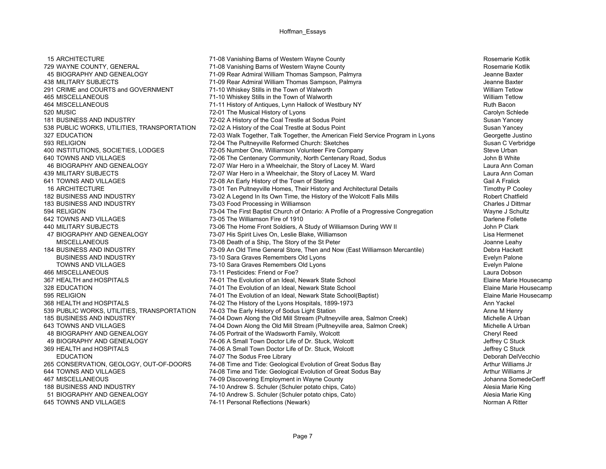538 PUBLIC WORKS, UTILITIES, TRANSPORTATION 645 TOWNS AND VILLAGES **74-11 Personal Reflections (Newark)** Newark

15 ARCHITECTURE **15 ARCHITECTURE** 21-08 Vanishing Barns of Western Wayne County **Rosemarie Kotlik** Rosemarie Kotlik 729 WAYNE COUNTY, GENERAL **71-08 Vanishing Barns of Western Wayne County Rosemarie Kotlik** Rosemarie Kotlik 45 BIOGRAPHY AND GENEALOGY 71-09 Rear Admiral William Thomas Sampson, Palmyra Jeanne Baxter 438 MILITARY SUBJECTS THE REAR AND THE 71-09 Rear Admiral William Thomas Sampson, Palmyra Jeanne Baxter Jeanne Baxter 291 CRIME and COURTS and GOVERNMENT 271-10 Whiskey Stills in the Town of Walworth 2012 William Tetlow<br>2013 AGS MISCELLANEOUS 2012 THE 2012 2014 2015 2016 2017 21-10 Whiskey Stills in the Town of Walworth 465 MISCELLANEOUS **165 MISCELLANEOUS** 71-10 Whiskey Stills in the Town of Walworth 165 MISCELLANEOUS William Tetlo<br>464 MISCELLANEOUS 2001 71-11 History of Antiques I vnn Hallock of Westbury NY 464 MISCELLANEOUS 71-11 History of Antiques, Lynn Hallock of Westbury NY Ruth Bacon 520 MUSIC **1200 Carolyn Schlede** 72-01 The Musical History of Lyons **Carolyn Schlede** Carolyn Schlede 181 BUSINESS AND INDUSTRY THE STATE THEORY THEORY THEORY OF THE COAL TRISTIC AT A HISTORY OF THE COAL TRISTIC A<br>1999 THEORY OF SUSAN YANGERY SUSAN YANGEY THEORY OF THEORY OF THE COAL TRISTIC AT SOCIUS POINT SUSAN YANCEY 327 EDUCATION 6-000 CHO 72-03 Walk Together, Talk Together, the American Field Service Program in Lyons Georgette Justino 593 RELIGION 72-04 The Pultneyville Reformed Church: Sketches Susan C Verbridge 400 INSTITUTIONS, SOCIETIES, LODGES 72-05 Number One, Williamson Volunteer Fire Company 30 1999 Steve Urban<br>640 TOWNS AND VILLAGES 640 TO-06 The Centenary Community North Centenary Road, Sodus 640 TOWNS AND VILLAGES 72-06 The Centenary Community, North Centenary Road, Sodus 46 BIOGRAPHY AND GENEALOGY **72-07 War Hero in a Wheelchair, the Story of Lacey M. Ward** Laura Ann Coman Laura Ann Coman 439 MILITARY SUBJECTS **1980 CONSUMENT AND THE STORY WAT HERO IN A WHEEICHAIR, the Story of Lacey M. Ward Communist Caura Ann Coman Coman** 641 TOWNS AND VILLAGES **641 TOWNS AND VILLAGES** 641 TOWN 656 An Early History of the Town of Sterling Gail A France Cail A Fralick 16 ARCHITECTURE 73-01 Ten Pultneyville Homes, Their History and Architectural Details Timothy P Cooley 182 BUSINESS AND INDUSTRY **182 COMPTED 10** 73-02 A Legend In Its Own Time, the History of the Wolcott Falls Mills Robert Chatfield 183 BUSINESS AND INDUSTRY 73-03 Food Processing in Williamson Charles J Dittmar 594 RELIGION 73-04 The First Baptist Church of Ontario: A Profile of a Progressive Congregation Wayne J Schultz 642 TOWNS AND VILLAGES **1990 THE STATE OF THE Williamson Fire of 1910** CONTROLLERGY DATE: 06 The Williamson Fire of 1910 440 MILITARY SUBJECTS **The Home Front Soldiers, A Study of Williamson During WW II** John P Clark 47 BIOGRAPHY AND GENEALOGY 73-07 His Spirit Lives On, Leslie Blake, Williamson Lisa Hermenet MISCELLANEOUS 73-08 Death of a Ship, The Story of the St Peter Joanne Leahy 184 BUSINESS AND INDUSTRY 73-09 An Old Time General Store, Then and Now (East Williamson Mercantile) Debra Hackett BUSINESS AND INDUSTRY **1988 CONSUMING THE STATE OF SALES AND THE STATE OF SALES AND SEXUAL SECTION** Frequence of the State of Talone TOWNS AND VILLAGES **The CONSTANT CONSTRUCTS** 73-10 Sara Graves Remembers Old Lyons **The Construction Constructs** Evelyn Palone 466 MISCELLANEOUS 73-11 Pesticides: Friend or Foe? Laura Dobson367 HEALTH and HOSPITALS **74-01 The Evolution of an Ideal, Newark State School Elaine Marie Housecamp** 328 EDUCATION 1990 124-01 The Evolution of an Ideal, Newark State School 1990 120 120 120 120 120 120 120 120<br>1995 RELIGION 1999 12:00 12:00 12:00 12:00 12:00 12:00 12:00 12:00 12:00 12:00 12:00 12:00 12:00 12:00 12:00 1 595 RELIGION **74-01** The Evolution of an Ideal, Newark State School(Baptist) **Elaine Marie House House House House** 368 HEALTH and HOSPITALS **74-02 The History of the Lyons Hospitals**, 1899-1973 Ann Yackel 539 PUBLIC WORKS, UTILITIES, TRANSPORTATION 74-03 The Early History of Sodus Light Station<br>185 BUSINESS AND INDUSTRY 1990 74-04 Down Along the Old Mill Stream (Pultnevville area. Salmon Creek) 1890 Michelle A Urban 185 BUSINESS AND INDUSTRY **185 ALCONG THE COLD THE OLD MILL** Stream (Pultneyville area, Salmon Creek) 643 TOWNS AND VILLAGES THE READ THE 74-04 Down Along the Old Mill Stream (Pultneyville area, Salmon Creek) Michelle A Urban 48 BIOGRAPHY AND GENEALOGY 74-05 Portrait of the Wadsworth Family, Wolcott Cheryl Reed 49 BIOGRAPHY AND GENEALOGY **74-06 A Small Town Doctor Life of Dr. Stuck, Wolcott** Jeffrey C Stuck Jeffrey C Stuck 369 HEALTH and HOSPITALS **1980 THEALTH** and HOSPITALS **74-06 A Small Town Doctor Life of Dr. Stuck, Wolcott** 1980 The Music Stuck EDUCATION **2006** 274-07 The Sodus Free Library **CONSIDENTS** 2006 2012 12:00 Deborah DelVecchio 265 CONSERVATION, GEOLOGY, OUT-OF-DOORS 74-08 Time and Tide: Geological Evolution of Great Sodus Bay 2015 Arthur Williams Jr (1999) Arthur Williams Jr (1999) Arthur Williams Jr (1999) 2015 2016 12:08 Time and Tide: Geologi Form of the Sological Evolution of Great Sodus Bay Towns Arthur Williams Jr<br>1990 - The The Sological Evolution of Great Sodus Bay Arthur Williams Jr<br>1990 - Johanna SomedeCerff 74-09 Discovering Employment in Wayne County 188 BUSINESS AND INDUSTRY 74-10 Andrew S. Schuler (Schuler potato chips, Cato) Alesia Marie King 51 BIOGRAPHY AND GENEALOGY 74-10 Andrew S. Schuler (Schuler potato chips, Cato) Alesia Marie King<br>Alex TOWNS AND VILLAGES 74-11 Personal Reflections (Newark)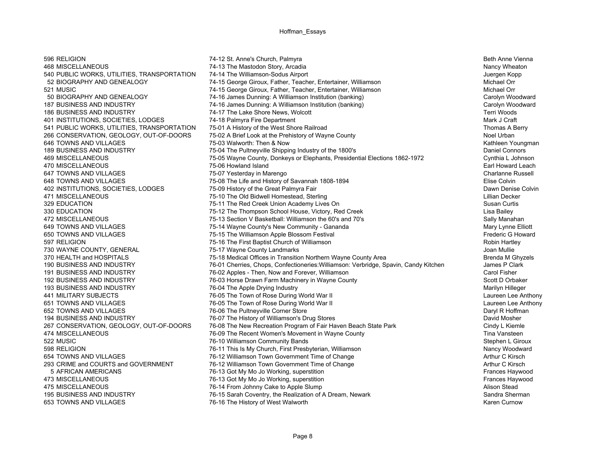470 MISCELLANEOUS 75-06 Howland Island650 TOWNS AND VILLAGES 75-15 The Williamson Apple Blossom Festival 194 BUSINESS AND INDUSTRY **76-07** The History of Williamson's Drug Stores 5 AFRICAN AMERICANS 76-13 Got My Mo Jo Working, superstition 373 MISCELLANEOUS 76-13 Got My Mo Jo Working. superstition 653 TOWNS AND VILLAGES 76-16 The History of West Walworth

596 RELIGION **1980 CONFERNATION 1999 THE STATE OF A STATE 1999 THE STATE OF A STATE 1999 THE STATE OF A STATE OF A STATE OF A STATE OF A STATE OF A STATE OF A STATE OF A STATE OF A STATE OF A STATE OF A STATE OF A STATE OF** About 168 MISCELLANEOUS The Mastodon Story, Arcadia The Mastodon Story, Arcadia Nancy Wheaton Nancy Wheaton 540 PUBLIC WORKS, UTILITIES, TRANSPORTATION 74-14 The Williamson-Sodus Airport Juergen Kopp Juergen Kopp 52 BIOGRAPHY AND GENEALOGY **74-15 George Giroux, Father, Teacher, Entertainer**, Williamson Michael Orr 521 MUSIC 74-15 George Giroux, Father, Teacher, Entertainer, Williamson Michael Orr Michael Orr<br>50 BIOGRAPHY AND GENEALOGY 74-16 James Dunning: A Williamson Institution (banking) 60 BIOGRAPHY AND GENEALOGY 50 BIOGRAPHY AND GENEALOGY 74-16 James Dunning: A Williamson Institution (banking) Carolyn Woodward 187 BUSINESS AND INDUSTRY **74-16 James Dunning: A Williamson Institution (banking)** Carolyn Woodward Woodward 186 BUSINESS AND INDUSTRY THE LAKE Shore News, Wolcott News, Wolcott Terri Woods 401 INSTITUTIONS, SOCIETIES, LODGES 74-18 Palmyra Fire Department<br>1991 Thomas A B 74-18 Palmyra Fire Operators (1991) 75-01 A History of the West Shore Railroad 541 PUBLIC WORKS, UTILITIES, TRANSPORTATION 75-01 A History of the West Shore Railroad Thomas A Berry Thomas A Berry 266 CONSERVATION, GEOLOGY, OUT-OF-DOORS 75-02 A Brief Look at the Prehistory of Wayne County Noel Wayne The Museum Noel Urban 646 TOWNS AND VILLAGES 75-03 Walworth: Then & Now Kathleen Youngman 189 BUSINESS AND INDUSTRY 75-04 The Pultneyville Shipping Industry of the 1800's Daniel Connors 469 MISCELLANEOUS 75-05 Wayne County, Donkeys or Elephants, Presidential Elections 1862-1972 Cynthia L Johnson 647 TOWNS AND VILLAGES **1992 12:00 TOWNS AND VILLAGES** 75-07 Yesterday in Marengo 1992 1894<br>648 TOWNS AND VILLAGES 1996 1997 75-08 The Life and History of Savannah 1808-1894 648 TOWNS AND VILLAGES 648 TOWNS AND VILLAGES 648 TOWNS AND VILLAGES 402 INSTITUTIONS, SOCIETIES, LODGES 75-09 History of the Great Palmyra Fair Dawn Denise Colvin According to the Old Bidwell Homestead, Sterling and the Cold Bidwell Homestead, Sterling and The Old Bidwell Homestead, Sterling and The Old Bidwell Homestead, Sterling and The Old Bidwell Homestead, Sterling and The Old 329 EDUCATION **120 CONSUMENT 100 CONSUMENT 100 CONSUMENT 1** The Red Creek Union Academy Lives On Susan Curtis Curtis 330 EDUCATION **75-12 The Thompson School House, Victory, Red Creek** 2008 2014 2015 2020 Lisa Bailey 472 MISCELLANEOUS **120 COVERSITY 12 COVERSITY 12 ACCOLLATED** 75-13 Section V Basketball: Williamson the 60's and 70's 649 TOWNS AND VILLAGES **649 TOWNS AND VILLAGES** 75-14 Wayne County's New Community - Gananda **Mary Lynne Elliott**<br>650 TOWNS AND VILLAGES 6 TOWARD 75-15 The Williamson Apple Blossom Festival 597 RELIGION **1980 Robin Hartley 75-16** The First Baptist Church of Williamson **1997 Religion Robin Hartley Robin Hartley** 730 WAYNE COUNTY, GENERAL THE REAL THE 75-17 Wayne County Landmarks The County Leader of The Theory County Landmarks Joan Mullie 370 HEALTH and HOSPITALS **75-18 Medical Offices in Transition Northern Wayne County Area Promotion Area Brenda M Ghyzels**<br>190 BUSINESS AND INDUSTRY **1999 THE READING AREA BRANGES** Chops. Confectioneries: Williamson: Verb 190 BUSINESS AND INDUSTRY 76-01 Cherries, Chops, Confectioneries: Williamson: Verbridge, Spavin. Candy Kitchen 191 BUSINESS AND INDUSTRY 76-02 Apples - Then, Now and Forever, Williamson Carol Fisher 192 BUSINESS AND INDUSTRY **76-03 Horse Drawn Farm Machinery in Wayne County** 76-03 Horse Drawn Farm Machinery in Wayne County 193 BUSINESS AND INDUSTRY THE ASSESSMED TO A 26-04 The Apple Drying Industry The Apple Drying Industry Marilyn Hilleger 441 MILITARY SUBJECTS **1.1 COLLUTARY SUBJECTS** 26-05 The Town of Rose During World War II 2008 2012 12:00 12:00 2012 651 TOWNS AND VILLAGES **1.1 Town of Rose During World War II** 2014 12:000 MM 2014 12:000 MM 2016 2017 12:000 MM 2016 652 TOWNS AND VILLAGES **652 TOWNS AND VILLAGES** 76-06 The Pultneyville Corner Store **76-06 The Pultneyville Corner Store And Accord Corner Store And Accord Paryl R Hoffman**<br>194 BUSINESS AND INDUSTRY **1990 The History of Wi** 267 CONSERVATION, GEOLOGY, OUT-OF-DOORS 76-08 The New Recreation Program of Fair Haven Beach State Park Cindy L Kiemle 474 MISCELLANEOUS **12.1 The Secont Women's Movement in Wayne County** 1998 of the National Tina Vansteen<br>1992 MUSIC 10 MISCELLANEOUS 1999 TR-10 Williamson Community Bands 76-10 Williamson Community Bands **Stephen L Giroux** Stephen L Giroux 598 RELIGION **1998 RELIGION** 76-11 This Is My Church, First Presbyterian, Williamson 654 TOWNS AND VILLAGES **1980 TOWN CONSUMITS 2006 12 Williamson Town Government Time of Change Arthur C Kirsch** Arthur C Kirsch 293 CRIME and COURTS and GOVERNMENT 76-12 Williamson Town Government Time of Change<br>5 AFRICAN AMERICANS 76-13 Got My Mo Jo Working, superstition 5 AFRICAN AMERICANS Frances Haywood 473 Got My Mo Jo Working, superstition **All and Society 1980** Frances Haywood And Music Language 176-14 From Johnny Cake to Apple Slump and the Campion of the Capper of Alison Stead Alison Stead 195 BUSINESS AND INDUSTRY THE REAL TO THE REAL TOWER TO SARAH COVENTLY, the Realization of A Dream, Newark The Matheman Sherman Sherman Curnow The History of West Walworth Sandra Sherman Sherman Sherman Sherman The Realiza

Earl Howard Leach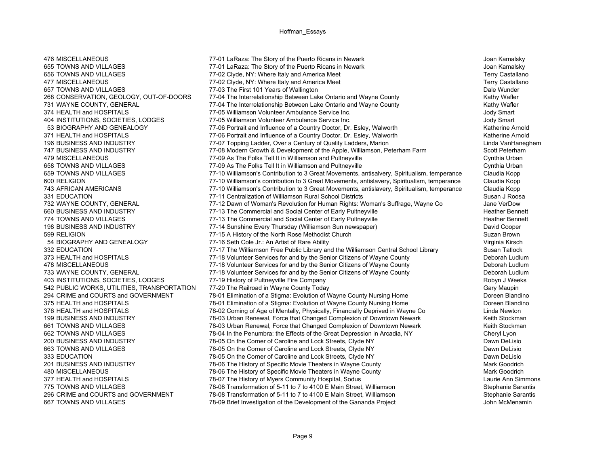656 TOWNS AND VILLAGES **77-02 Clyde, NY: Where Italy and America Meet** 

476 MISCELLANEOUS 77-01 LaRaza: The Story of the Puerto Ricans in Newark Joan Kamalsky 655 TOWNS AND VILLAGES **655 TOWNS AND VILLAGES** 77-01 LaRaza: The Story of the Puerto Ricans in Newark 30 Towns And Multiple Terry Castallano<br>656 TOWNS AND VILLAGES 65 TOWN 77-02 Clyde. NY: Where Italy and America Meet 477 MISCELLANEOUS **1988 TERRY CASTAINEDUS** 77-02 Clyde, NY: Where Italy and America Meet Terry Castallano Terry Castallano 657 TOWNS AND VILLAGES **Dale Wunder 19th Concrete 101** Years of Wallington<br>268 CONSERVATION, GEOLOGY, OUT-OF-DOORS 77-04 The Interrelationship Between Lake Ontario and Wavne County **268** 268 CONSERVATION, GEOLOGY, OUT-OF-DOORS 77-04 The Interrelationship Between Lake Ontario and Wayne County 731 WAYNE COUNTY, GENERAL THE THE 177-04 The Interrelationship Between Lake Ontario and Wayne County The Kathy Wafler 374 HEALTH and HOSPITALS **1980 THEALTH** and HOSPITALS 77-05 Williamson Volunteer Ambulance Service Inc. 404 INSTITUTIONS, SOCIETIES, LODGES 77-05 Williamson Volunteer Ambulance Service Inc. Jody Smart 77-06 Portrait and Influence of a Country Doctor, Dr. Esley, Walworth 371 HEALTH and HOSPITALS **77-06 Portrait and Influence of a Country Doctor**, Dr. Esley, Walworth Katherine Arnold 196 BUSINESS AND INDUSTRY **196 BUSINESS AND INDUSTRY** 1975 Topping Ladder, Over a Century of Quality Ladders, Marion Linda Wander Manneghem<br>1979 The Apple, Williamson, Peterham Farm Scott Peterham 77-08 Modern Growth & Development of the Apple, Williamson, Peterham Farm Scott Peterham Farm Scott Peterham 479 MISCELLANEOUS **1990 Cynthia Urban** 77-09 As The Folks Tell It in Williamson and Pultneyville **1990 Cynthia Urban** 658 TOWNS AND VILLAGES **658 TOWNS AND VILLAGES** 77-09 As The Folks Tell It in Williamson and Pultneyville 658 TOWNS AND VILLAGES 659 TOWNS AND VILLAGES 77-10 Williamson's Contribution to 3 Great Movements, antisalvery, Spiritualism, temperance Claudia Kopp 600 RELIGION 77-10 Williamson's contribution to 3 Great Movements, antislavery, Spiritualism, temperance Claudia Kopp 743 AFRICAN AMERICANS 77-10 Williamson's Contribution to 3 Great Movements, antislavery, Spiritualism, temperance Claudia Kopp 331 EDUCATION **12000 CONTROLLET SUSAN DESCRIPTION** 77-11 Centralization of Williamson Rural School Districts **Susan J Roosa** 732 WAYNE COUNTY, GENERAL 77-12 Dawn of Woman's Revolution for Human Rights: Woman's Suffrage, Wayne Co Jane VerDow 660 BUSINESS AND INDUSTRY **19 COMMERGIAL COMMERGIAL ACTES** AND THE COMMERGIAL AND SOCIAL CENTER OF Early Pultneyville 774 TOWNS AND VILLAGES **77-13 The Commercial and Social Center of Early Pultneyville** 1996 1997 1998 Heather Bennett 198 BUSINESS AND INDUSTRY 77-14 Sunshine Every Thursday (Williamson Sun newspaper) David Cooper 599 RELIGION 77-15 A History of the North Rose Methodist Church Suzan Brown 54 BIOGRAPHY AND GENEALOGY **77-16** Seth Cole Jr.: An Artist of Rare Ability Virginia Kirsch Virginia Kirsch 332 EDUCATION **77-17 The Williamson Free Public Library and the Williamson Central School Library** Susan Tatlock 373 HEALTH and HOSPITALS **77-18** Volunteer Services for and by the Senior Citizens of Wayne County **Deborah Ludlum** 478 MISCELLANEOUS **17-18 Volunteer Services for and by the Senior Citizens of Wayne County 18 Deborah Ludlum** 733 WAYNE COUNTY, GENERAL THE 77-18 Volunteer Services for and by the Senior Citizens of Wayne County Deborah Ludlum 403 INSTITUTIONS, SOCIETIES, LODGES 17-19 History of Pultneyville Fire Company 1990 1991 1991 1991 1991 1991 1<br>1992 PUBLIC WORKS, UTILITIES, TRANSPORTATION 77-20 The Railroad in Wavne County Today 542 PUBLIC WORKS, UTILITIES, TRANSPORTATION 77-20 The Railroad in Wayne County Today Gary Manner County Today Gary Maupin 294 CRIME and COURTS and GOVERNMENT 78-01 Elimination of a Stigma: Evolution of Wayne County Nursing Home Doreen Blandino 375 HEALTH and HOSPITALS **78-01 Elimination of a Stigma: Evolution of Wayne County Nursing Home** Doreen Blandino 376 HEALTH and HOSPITALS **78-02 Coming of Age of Mentally, Physically, Financially Deprived in Wayne Co** Linda Newton<br>199 BUSINESS AND INDUSTRY 1999 78-03 Urban Renewal. Force that Changed Complexion of Downtown Newark 199 BUSINESS AND INDUSTRY 78-03 Urban Renewal, Force that Changed Complexion of Downtown Newark 661 TOWNS AND VILLAGES 78-03 Urban Renewal, Force that Changed Complexion of Downtown Newark Keith Stockman 662 TOWNS AND VILLAGES 668 TOWNS AND VILLAGES 6 1999 18-04 In the Penumbra: the Effects of the Great Depression in Arcadia, NY Cheryl Lyon<br>200 BUSINESS AND INDUSTRY 200 1999 1999 18-05 On the Corner of Caroline and Lock St 200 BUSINESS AND INDUSTRY 78-05 On the Corner of Caroline and Lock Streets, Clyde NY 663 TOWNS AND VILLAGES **1980 CORPORTS 2012 128-05 On the Corner of Caroline and Lock Streets, Clyde NY** Dawn DeLision Dawn DeLision 333 EDUCATION 78-05 On the Corner of Caroline and Lock Streets, Clyde NY 78-05 On the Corner of Caroline and Lock Streets, Clyde NY 201 BUSINESS AND INDUSTRY 201 201 BUSINESS AND INDUSTRY 2010 COUNTRET THE History of Specific Movie Theaters in Wayne County 28-06 The History of Specific Movie Theaters in Wayne County 201 BUSINESS AND INDUSTRY 28-06 The 480 MISCELLANEOUS 78-06 The History of Specific Movie Theaters in Wayne County 377 HEALTH and HOSPITALS **78-07 The History of Myers Community Hospital**, Sodus Community Hospital, Sodus 775 TOWNS AND VILLAGES **78-08 Transformation of 5-11 to 7 to 4100** E Main Street. Williamson Stephanie Sarantis 296 CRIME and COURTS and GOVERNMENT 78-08 Transformation of 5-11 to 7 to 4100 E Main Street, Williamson Stephanie Sarantis<br>667 TOWNS AND VILLAGES 1966 Transformation of the Development of the Gananda Project 1966 Town Step 667 TOWNS AND VILLAGES **78-09 Brief Investigation of the Development of the Gananda Project John McMenaminn McMenaminn McMenaminn McMenaminn McMenaminn McMenaminn McMenaminn McMenaminn McMenaminn McMenaminn McMenaminn McMe**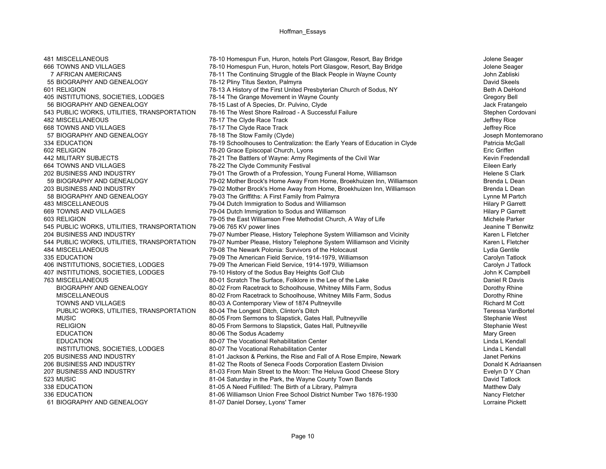668 TOWNS AND VILLAGES 78-17 The Clyde Race Track

481 MISCELLANEOUS **78-10 Homespun Fun, Huron, hotels Port Glasgow, Resort, Bay Bridge** Jolene Seager FREE TOWNS AND VILLAGES TOWNS AND VILLAGES 10 FOR CHANNEL 1990 178-10 Homespun Fun, Huron, hotels Port Glasgow, Resort, Bay Bridge Jolene Seager Jolene Seager<br>7 AERICAN AMERICANS 1990 1990 1991 1991 1992-11 The Continuing 7 AFRICAN AMERICANS 78-11 The Continuing Struggle of the Black People in Wayne County 55 BIOGRAPHY AND GENEALOGY **78-12 Pliny Titus Sexton, Palmyra** David Skeels David Skeels 601 RELIGION 78-13 A History of the First United Presbyterian Church of Sodus, NY Beth A DeHond 405 INSTITUTIONS, SOCIETIES, LODGES 78-14 The Grange Movement in Wayne County 78-14 The Gregory Bell 56 BIOGRAPHY AND GENEALOGY **78-15** Last of A Species, Dr. Pulvino, Clyde Jack Fratangelo Jack Fratangelo 543 PUBLIC WORKS, UTILITIES, TRANSPORTATION 78-16 The West Shore Railroad - A Successful Failure Stephen Stephen Cordovani 482 MISCELLANEOUS 78-17 The Clyde Race Track Jeffrey Rice 57 BIOGRAPHY AND GENEALOGY **78-18** The Stow Family (Clyde) **1996** The Stow Family (Clyde) 30 Seph Montemorano 334 EDUCATION 78-19 Schoolhouses to Centralization: the Early Years of Education in Clyde Patricia McGall 602 RELIGION **1990 CONSERVING THE SET OF STATE OF STATE ASSESS** TO STATE OF THE GRIFFEN THE GRIFFEN THE GRIFFEN 442 MILITARY SUBJECTS **The Battlers of Wayne: Army Regiments of the Civil War** Kevin Fredendall 664 TOWNS AND VILLAGES **1990 THE CLICE COMMUNITY FOR A COMMUNITY Festival** COMMUNITY Festival **Example 20 THE CLICE EXAMPLE EIGEN** Eileen Early 202 BUSINESS AND INDUSTRY 2001 The Growth of a Profession, Young Funeral Home, Williamson 202 BUSINESS AND INDUSTRY<br>79-02 Mother Brock's Home Away From Home, Broekhuizen Inn, Williamson Brenda L Dean 79-02 Mother Brock's Home Away From Home, Broekhuizen Inn, Williamson 203 BUSINESS AND INDUSTRY 79-02 Mother Brock's Home Away from Home, Broekhuizen Inn, Williamson Brenda L Dean 58 BIOGRAPHY AND GENEALOGY **79-03** The Griffiths: A First Family from Palmyra **Lynne M** Partch Lynne M Partch 483 MISCELLANEOUS 79-04 Dutch Immigration to Sodus and Williamson Hilary P Garrett 669 TOWNS AND VILLAGES 79-04 Dutch Immigration to Sodus and Williamson Hilary P Garrett 603 RELIGION Michele Parker 79-05 the East Williamson Free Methodist Church, A Way of Life Michele Parker 545 PUBLIC WORKS, UTILITIES, TRANSPORTATION 79-06 765 KV power lines Jean Marchan Channel Theoretic Monet Learnine T Benwitz 204 BUSINESS AND INDUSTRY **79-07 Number Please, History Telephone System Williamson and Vicinity** Karen L Fletcher 544 PUBLIC WORKS, UTILITIES, TRANSPORTATION 79-07 Number Please, History Telephone System Williamson and Vicinity Karen L Fletcher 484 MISCELLANEOUS 79-08 The Newark Polonia: Survivors of the Holocaust Lydia Gentile 335 EDUCATION 79-09 The American Field Service, 1914-1979, Williamson Carolyn Tatlock 406 INSTITUTIONS, SOCIETIES, LODGES 79-09 The American Field Service, 1914-1979, Williamson Carolyn J Tatlock 407 INSTITUTIONS, SOCIETIES, LODGES 79-10 History of the Sodus Bay Heights Golf Club John K Campbell 763 MISCELLANEOUS **80-01 Scratch The Surface, Folklore in the Lee of the Lake** Daniel R Davis BIOGRAPHY AND GENEALOGY **80-02 From Racetrack to Schoolhouse**, Whitney Mills Farm, Sodus Dorothy Rhine MISCELLANEOUS **80-02 From Racetrack to Schoolhouse**, Whitney Mills Farm, Sodus Dorothy Rhine TOWNS AND VILLAGES **80-03 A Contemporary View of 1874 Pultneyville** and the M Cott Richard M Cott PUBLIC WORKS, UTILITIES, TRANSPORTATION 80-04 The Longest Ditch, Clinton's Ditch<br>MUSIC 80-05 From Sermons to Slapstick. Gates Hall. Pultnevville MUSIC 80-05 From Sermons to Slapstick, Gates Hall, Pultneyville RELIGION 60-05 From Sermons to Slapstick, Gates Hall, Pultneyville Stephanie West EDUCATION Mary Green 80-06 The Sodus Academy and the Solution of the Sodus Academy and the Solution of the Sodus Academy and the Solution of the Sodus Academy and the Solution of the Sodus Academy and the Solution of the S EDUCATION 80-07 The Vocational Rehabilitation Center Linda L KendallINSTITUTIONS, SOCIETIES, LODGES 80-07 The Vocational Rehabilitation Center Communication Center Linda L Kendall 205 BUSINESS AND INDUSTRY **81-01 Jackson & Perkins, the Rise and Fall of A Rose Empire, Newark 31-01 Janet Perkins** 206 BUSINESS AND INDUSTRY **81-02 The Roots of Seneca Foods Corporation** Eastern Division<br>207 BUSINESS AND INDUSTRY **81-03 From Main Street to the Moon:** The Heluva Good Cheese Story **Deman Street The Adriaansen** 207 BUSINESS AND INDUSTRY 81-03 From Main Street to the Moon: The Heluva Good Cheese Story 523 MUSIC **81-04 Saturday in the Park, the Wayne County Town Bands Bands** David Tatlock 338 EDUCATION 81 Matthew Daly 81-05 A Need Fulfilled: The Birth of a Library, Palmyra Matth 2008 11:05 A Matthew Daly 336 EDUCATION 81-06 Williamson Union Free School District Number Two 1876-1930<br>61 BIOGRAPHY AND GENEALOGY 81-07 Daniel Dorsey. Lyons' Tamer 81-07 Daniel Dorsey, Lyons' Tamer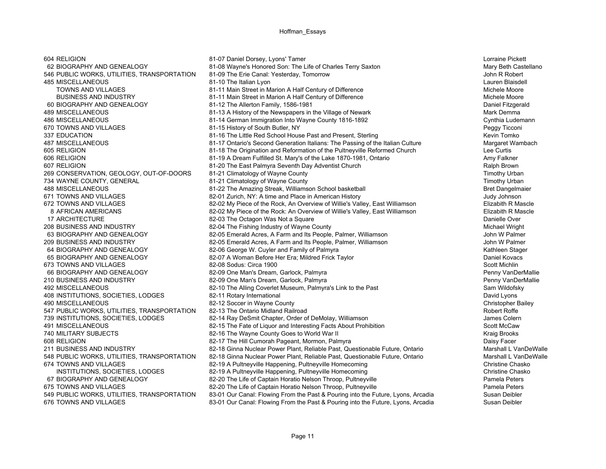546 PUBLIC WORKS, UTILITIES, TRANSPORTATION 673 TOWNS AND VILLAGES 82-08 Sodus: Circa 1900

604 RELIGION 81-07 Daniel Dorsey, Lyons' Tamer Lorraine Pickett 62 BIOGRAPHY AND GENEALOGY 81-08 Wayne's Honored Son: The Life of Charles Terry Saxton Mary Beth Castellano<br>646 PUBLIC WORKS, UTILITIES, TRANSPORTATION 81-09 The Erie Canal: Yesterday, Tomorrow Absolut Lauren Blaisdell **81-10** The Italian Lyon **81-10 The Italian Lyon** Lauren Blaisdell **Lauren Blaisdell Lauren Blaisdell** TOWNS AND VILLAGES **81-11 Main Street in Marion A Half Century of Difference** Michele Moore Michele Moore BUSINESS AND INDUSTRY **81-11 Main Street in Marion A Half Century of Difference** Michele Moore Michele Moore 60 BIOGRAPHY AND GENEALOGY 81-12 The Allerton Family, 1586-1981 Daniel Fitzgerald 489 MISCELLANEOUS **81-13 A History of the Newspapers in the Village of Newark** Mark Demma 486 MISCELLANEOUS 61-14 German Immigration Into Wayne County 1816-1892<br>81-15 History of South Butler. NY 670 TOWNS AND VILLAGES Peagy Ticconi 81-15 History of South Butler, NY<br>81-16 The Little Red School House Past and Present, Sterling and the South Butler of Mexic Tomko 337 EDUCATION 81-16 The Little Red School House Past and Present, Sterling 487 MISCELLANEOUS 81-17 Ontario's Second Generation Italians: The Passing of the Italian Culture Margaret Wambach 605 RELIGION 81-18 The Origination and Reformation of the Pultneyville Reformed Church Lee Curtis 606 RELIGION 81-19 A Dream Fulfilled St. Mary's of the Lake 1870-1981, Ontario Amy Falkner 607 RELIGION 81-20 The East Palmyra Seventh Day Adventist Church Ralph Brown 269 CONSERVATION, GEOLOGY, OUT-OF-DOORS 81-21 Climatology of Wayne County 269 CONSERVATION, Timothy Urban 734 WAYNE COUNTY, GENERAL **81-21 Climatology of Wayne County** The County County County County Timothy Urban 488 MISCELLANEOUS **81-22 The Amazing Streak, Williamson School basketball** Bret Dangelmaier Bret Dangelmaier 671 TOWNS AND VILLAGES **82-01 Zurich, NY: A time and Place in American History** 671 TOWNS AND VILLAGES Judy Johnson 672 TOWNS AND VILLAGES **82-02 My Piece of the Rock, An Overview of Willie's Valley, East Williamson** Elizabith R Mascle 8 AFRICAN AMERICANS **82-02 My Piece of the Rock: An Overview of Willie's Valley, East Williamson** Elizabith R Mascle 17 ARCHITECTURE **17 ARCHITECTURE 82-03** The Octagon Was Not a Square **Danielle Over** Danielle Over 208 BUSINESS AND INDUSTRY **82-04 The Fishing Industry of Wayne County** Management Michael Wright 63 BIOGRAPHY AND GENEALOGY 82-05 Emerald Acres, A Farm and Its People, Palmer, Williamson John W Palmer 209 BUSINESS AND INDUSTRY 82-05 Emerald Acres, A Farm and Its People, Palmer, Williamson John W Palmer 64 BIOGRAPHY AND GENEALOGY 82-06 George W. Cuyler and Family of Palmyra The Manuscript Communication Stager 65 BIOGRAPHY AND GENEALOGY 82-07 A Woman Before Her Era; Mildred Frick Taylor Daniel Kovacs 66 BIOGRAPHY AND GENEALOGY **82-09 One Man's Dream, Garlock, Palmyra** Penny VanDerMallie Penny VanDerMallie 210 BUSINESS AND INDUSTRY COMENT AND AND BEACH AND BEACH AND BEACH AND BEACH AND BEACH AND BEACH AND BEACH AND<br>1992 MISCELLANEOUS Sam Wildofsky 492 MISCELLANEOUS 82-10 The Alling Coverlet Museum, Palmyra's Link to the Past 408 INSTITUTIONS, SOCIETIES, LODGES 82-11 Rotary International David Lyons 490 MISCELLANEOUS 82-12 Soccer in Wayne County Christopher Bailey 547 PUBLIC WORKS, UTILITIES, TRANSPORTATION 82-13 The Ontario Midland Railroad Research Robert Robert Robert Roffe 739 INSTITUTIONS, SOCIETIES, LODGES 82-14 Ray DeSmit Chapter, Order of DeMolay, Williamson James Colern 491 MISCELLANEOUS Scott McCaw 82-15 The Fate of Liquor and Interesting Facts About Prohibition Scott McCaw 740 MILITARY SUBJECTS **1980** S2-16 The Wayne County Goes to World War II All Annual Management of the Wayne County Goes to World War II 608 RELIGION 82-17 The Hill Cumorah Pageant, Mormon, Palmyra Daisy Facer 211 BUSINESS AND INDUSTRY 82-18 Ginna Nuclear Power Plant, Reliable Past, Questionable Future, Ontario Marshall L VanDeWalle 548 PUBLIC WORKS, UTILITIES, TRANSPORTATION 82-18 Ginna Nuclear Power Plant, Reliable Past, Questionable Future, Ontario Marshall L VanDeWalle 674 TOWNS AND VILLAGES 62-19 A Pultneyville Happening, Pultneyville Homecoming 674 TOWNS AND VILLAGES Chasko<br>INSTITUTIONS. SOCIETIES. LODGES 62-19 A Pultneyville Happening. Pultneyville Homecoming 82-19 A Pultneyville Happening, Pultneyville Homecoming and the community of the Christine Chaskover Christine Chaskover Christine Chaskover Christine Chaskover Christine Chaskover Christine Chaskover Christine Chaskover C 67 BIOGRAPHY AND GENEALOGY 82-20 The Life of Captain Horatio Nelson Throop, Pultneyville 675 TOWNS AND VILLAGES **675 TOWNS AND VILLAGES** 82-20 The Life of Captain Horatio Nelson Throop, Pultneyville **Pamela Peters** 549 PUBLIC WORKS, UTILITIES, TRANSPORTATION 83-01 Our Canal: Flowing From the Past & Pouring into the Future, Lyons, Arcadia Susan Deibler 676 TOWNS AND VILLAGES **83-01 Our Canal: Flowing From the Past & Pouring into the Future, Lyons, Arcadia** Susan Deibler

Scott Michlin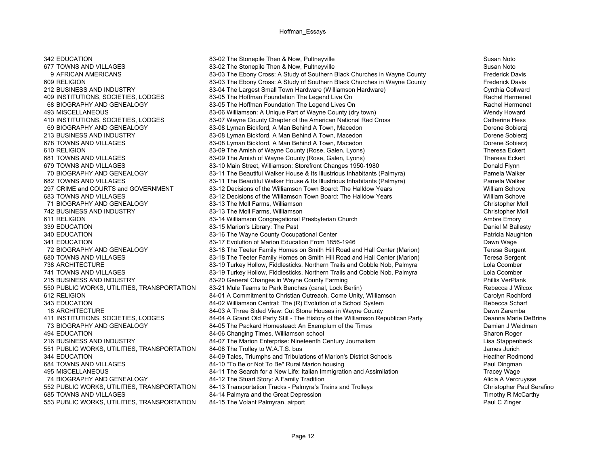553 PUBLIC WORKS, UTILITIES, TRANSPORTATION

342 EDUCATION Susan Noto 83-02 The Stonepile Then & Now, Pultneyville Susan Noto Susan Noto 677 TOWNS AND VILLAGES 63-02 The Stonepile Then & Now, Pultneyville 677 TOWNS AND VILLAGES 677 TOWNS AND VILLAGES<br>9 AFRICAN AMERICANS 63-03 The Fhony Cross: A Study of Southern Black Churches in Wayne County 9 AFRICAN AMERICANS 83-03 The Ebony Cross: A Study of Southern Black Churches in Wayne County 609 RELIGION **83-03 The Ebony Cross: A Study of Southern Black Churches in Wayne County** Frederick Davis 212 BUSINESS AND INDUSTRY **83-04 The Largest Small Town Hardware (Williamson Hardware)** Cynthia Collward Collward<br>199 INSTITUTIONS SOCIFTIFS I ODGFS 83-05 The Hoffman Foundation The Legend Live On 409 INSTITUTIONS, SOCIETIES, LODGES 83-05 The Hoffman Foundation The Legend Live On 68 BIOGRAPHY AND GENEALOGY **83-05** The Hoffman Foundation The Legend Lives On Rachel Hermenet 493 MISCELLANEOUS 83-06 Williamson: A Unique Part of Wayne County (dry town) Wendy Howard 410 INSTITUTIONS, SOCIETIES, LODGES 83-07 Wayne County Chapter of the American National Red Cross Catherine Hess<br>83-08 Lyman Bickford. A Man Behind A Town. Macedon Broom Comments Collerzi 83-08 Lyman Bickford, A Man Behind A Town, Macedon **Dorene Sobierzi** Dorene Sobierzi 213 BUSINESS AND INDUSTRY **83-08 Lyman Bickford, A Man Behind A Town**, Macedon Dorene Sobierzj 678 TOWNS AND VILLAGES **83-08 Lyman Bickford, A Man Behind A Town**, Macedon Dorene Sobierzi 610 RELIGION 610 RELIGION 83-09 The Amish of Wayne County (Rose, Galen, Lyons) 610 RELIGION 68-09 Theresa Eckert<br>681 TOWNS AND VILLAGES 68-09 The Amish of Wayne County (Rose, Galen, Lyons) 681 TOWNS AND VILLAGES Fickert 681 TOWNS AND VILLAGES **83-09 The Amish of Wayne County (Rose, Galen, Lyons)** 681 TOWNS AND VILLAGES 679 TOWNS AND VILLAGES **83-10 Main Street, Williamson: Storefront Changes 1950-1980** Bonald Flynn 70 BIOGRAPHY AND GENEALOGY **83-11 The Beautiful Walker House & Its Illustrious Inhabitants (Palmyra)** Pamela Walker Pamela Walker House & Its Illustrious Inhabitants (Palmyra) Pamela Walker Pamela Walker Rouse & Its Illust 682 TOWNS AND VILLAGES 683-11 The Beautiful Walker House & Its Illustrious Inhabitants (Palmyra) 297 CRIME and COURTS and GOVERNMENT 83-12 Decisions of the Williamson Town Board: The Halldow Years William Schove683 TOWNS AND VILLAGES 83-12 Decisions of the Williamson Town Board: The Halldow Years William Schove71 BIOGRAPHY AND GENEALOGY 83-13 The Moll Farms, Williamson Christopher Moll 742 BUSINESS AND INDUSTRY **83-13 The Moll Farms, Williamson** 83-13 The Moll Farms, Williamson 611 RELIGION 611 RELIGION 83-14 Williamson Congregational Presbyterian Church 611 RELIGION 611 RELIGION 339 EDUCATION **83-15 Marion's Library: The Past** Daniel M Ballesty **Daniel M Ballesty** 340 EDUCATION 83-16 The Wavne County Occupational Center And America Naughton Patricia Naughton 341 EDUCATION 83-17 Evolution of Marion Education From 1856-1946 Dawn Wage 72 BIOGRAPHY AND GENEALOGY 83-18 The Teeter Family Homes on Smith Hill Road and Hall Center (Marion) Teresa Sergent 680 TOWNS AND VILLAGES **680 TOWNS AND VILLAGES** 68-18 The Teeter Family Homes on Smith Hill Road and Hall Center (Marion) 680 TOWNS AND VILLAGES 69 Turkey Hollow. Fieder Family Homes on Smith Hill Road and Hall Center (Mar 738 ARCHITECTURE **83-19 Turkey Hollow, Fiddlesticks, Northern Trails and Cobble Nob, Palmyra** 1 741 TOWNS AND VILLAGES **83-19 Turkey Hollow, Fiddlesticks, Northern Trails and Cobble Nob, Palmyra** Lola Coomber 215 BUSINESS AND INDUSTRY FRANSPORTATION 1999-20 General Changes in Wayne County Farming 1999-10 100 100 100 1<br>1990 PUBLIC WORKS. UTILITIES. TRANSPORTATION 1999-21 Mule Teams to Park Benches (canal. Lock Berlin) 550 PUBLIC WORKS, UTILITIES, TRANSPORTATION 83-21 Mule Teams to Park Benches (canal, Lock Berlin) Rebecca J Wilcox 612 RELIGION 84-01 A Commitment to Christian Outreach, Come Unity, Williamson Carolyn Rochford 343 EDUCATION 84-02 Williamson Central: The (R) Evolution of a School System Rebecca Scharf 18 ARCHITECTURE Dawn Zaremba<br>19 BACHITECTURE 84-03 A Three Sided View: Cut Stone Houses in Wayne County Danny Dawn Zaremba<br>19 Banna Marie DeBrine 84-04 A Grand Old Party Still - The History of the Williamson Republican Par 84-04 A Grand Old Party Still - The History of the Williamson Republican Party 73 BIOGRAPHY AND GENEALOGY **84-05** The Packard Homestead: An Exemplum of the Times Damian J Weidman 494 EDUCATION 84-06 Changing Times, Williamson school 84-06 Changing Times, Williamson school 30-07 ESS (Sharon Roger<br>1994 BUSINESS AND INDUSTRY 216 BUSINESS AND INDUSTRY 216 BUSINESS AND INDUSTRY 84-07 The Marion Enterprise: Nineteenth Century Journalism 551 PUBLIC WORKS, UTILITIES, TRANSPORTATION 84-08 The Trolley to W.A.T.S. bus James Jurich 30 annes Jurich 1990 344 EDUCATION 84-09 Tales, Triumphs and Tribulations of Marion's District Schools Heather Redmond 684 TOWNS AND VILLAGES **684 TOWNS AND VILLAGES** 684-10 "To Be or Not To Be" Rural Marion housing 684 TOWNS AND VILLAGES 684-11 The Search for a New Life: Italian Immigration and Assimilation 84-11 The Search for a New Life: Italian Immigration and Assimilation Tracey Wage 74 BIOGRAPHY AND GENEALOGY **84-12 The Stuart Story: A Family Tradition** Alicia A Vercruysse 552 PUBLIC WORKS, UTILITIES, TRANSPORTATION 84-13 Transportation Tracks - Palmyra's Trains and Trolleys Christopher Paul Serafino 685 TOWNS AND VILLAGES 68-14 Palmyra and the Great Depression<br>1996 - Timothy R McCarthy 84-15 The Volant Palmyran, airport 64-15 The Volant Palmyran, airport 6-10 Magnet 19<br>1996 - Paul C Zinger 1996 Paul C Zinger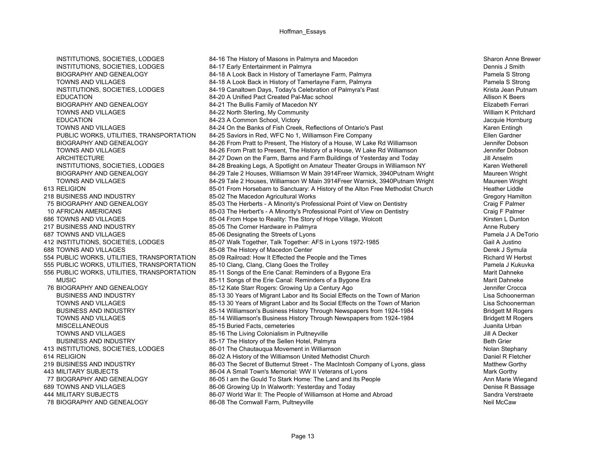413 INSTITUTIONS, SOCIETIES, LODGES 86-01 The Chautauqua Movement in Williamson

INSTITUTIONS, SOCIETIES, LODGES 84-16 The History of Masons in Palmyra and Macedon Sharon Anne Brewer INSTITUTIONS, SOCIETIES, LODGES 84-17 Early Entertainment in Palmyra Dennis J Smith BIOGRAPHY AND GENEALOGY **84-18 A Look Back in History of Tamerlayne Farm**, Palmyra Pamela S Strong Pamela S Strong TOWNS AND VILLAGES **84-18 A Look Back in History of Tamerlayne Farm**, Palmyra Pamela S Strong Pamela S Strong INSTITUTIONS, SOCIETIES, LODGES 84-19 Canaltown Days, Today's Celebration of Palmyra's Past 64-19 Canaltown Days, Today's Celebration of Palmyra's Past EDUCATION 84-20 A Unified Pact Created Pal-Mac school Allison K BeersBIOGRAPHY AND GENEALOGY 84-21 The Bullis Family of Macedon NY Elizabeth Ferrari TOWNS AND VILLAGES **84-22 North Sterling, My Community 84-22 North Sterling, My Community** William K Pritchard EDUCATION 84-23 A Common School, Victory Jacquie Hornburg TOWNS AND VILLAGES **84-24** On the Banks of Fish Creek, Reflections of Ontario's Past **Karen Entingh** Karen Entingh PUBLIC WORKS, UTILITIES, TRANSPORTATION 84-25 Saviors in Red, WFC No 1, Williamson Fire Company Fillen Sandher BIOGRAPHY AND GENEALOGY 84-26 From Pratt to Present, The History of a House, W Lake Rd Williamson Jennifer Dobson TOWNS AND VILLAGES **84-26** From Pratt to Present, The History of a House, W Lake Rd Williamson Jennifer Dobson ARCHITECTURE 84-27 Down on the Farm, Barns and Farm Buildings of Yesterday and Today Jill Anselm INSTITUTIONS, SOCIETIES, LODGES 84-28 Breaking Legs, A Spotlight on Amateur Theater Groups in Williamson NY Karen Wetherell BIOGRAPHY AND GENEALOGY 84-29 Tale 2 Houses, Williamson W Main 3914Freer Warnick, 3940Putnam Wright Maureen Wright TOWNS AND VILLAGES **84-29 Tale 2 Houses, Williamson W Main 3914Freer Warnick, 3940Putnam Wright** Maureen Wright Maureen Wright 613 RELIGION 685-01 From Horsebarn to Sanctuary: A History of the Alton Free Methodist Church Heather Liddle 218 BUSINESS AND INDUSTRY **85-02 The Macedon Agricultural Works** Chromatic Music Crequity Crequity Crequity Crequity 75 BIOGRAPHY AND GENEALOGY 85-03 The Herberts - A Minority's Professional Point of View on Dentistry Craig F Palmer 10 AFRICAN AMERICANS 85-03 The Herbert's - A Minority's Professional Point of View on Dentistry Craig F Palmer 686 TOWNS AND VILLAGES **85-04 From Hope to Reality: The Story of Hope Village, Wolcott** Kirsten L Dunton Kirsten L Dunton 217 BUSINESS AND INDUSTRY **85-05 The Corner Hardware in Palmyra** Anne Rubery Anne Rubery Anne Rubery 687 TOWNS AND VILLAGES **85-06** Designating the Streets of Lyons **Band Contract Contract Contract Pamela J A DeTorio** 412 INSTITUTIONS, SOCIETIES, LODGES 85-07 Walk Together, Talk Together: AFS in Lyons 1972-1985 Gail A Justino 688 TOWNS AND VILLAGES **85-08 The History of Macedon Center 85-08** The History of Macedon Center **Derek J Symula** 554 PUBLIC WORKS, UTILITIES, TRANSPORTATION 85-09 Railroad: How It Effected the People and the Times Richard W Herbst 555 PUBLIC WORKS, UTILITIES, TRANSPORTATION 85-10 Clang, Clang, Clang Goes the Trolley Pamela J Kukuvka 556 PUBLIC WORKS, UTILITIES, TRANSPORTATION 85-11 Songs of the Erie Canal: Reminders of a Bygone Era Marit Dahneke MUSIC **85-11 Songs of the Erie Canal: Reminders of a Bygone Era** Marit Dahneke Marit Dahneke 76 BIOGRAPHY AND GENEALOGY **85-12 Kate Starr Rogers: Growing Up a Century Ago** Jennifer Crocca BUSINESS AND INDUSTRY 85-13 30 Years of Migrant Labor and Its Social Effects on the Town of Marion Lisa Schoonerman TOWNS AND VILLAGES **85-13 30 Years of Migrant Labor and Its Social Effects on the Town of Marion** Lisa Schoonerman BUSINESS AND INDUSTRY **85-14 Williamson's Business History Through Newspapers from 1924-1984** Bridgett M Rogers TOWNS AND VILLAGES **85-14 Williamson's Business History Through Newspapers from 1924-1984** Bridgett M Rogers **Bridgett M** Rogers MISCELLANEOUS 85-15 Buried Facts, cemeteries Juanita Urban TOWNS AND VILLAGES **85-16** The Living Colonialism in Pultneyville **1996** The Living Colonialism in Pultneyville BUSINESS AND INDUSTRY **85-17 The History of the Sellen Hotel, Palmyra** Beth Grier Beth Grier Beth Grier Beth Grier<br>1999 INSTITUTIONS. SOCIETIES, LODGES 86-01 The Chautauqua Movement in Williamson 614 RELIGION **86-02 A History of the Williamson United Methodist Church** Daniel R Fletcher Daniel R Fletcher 219 BUSINESS AND INDUSTRY **86-03** The Secret of Butternut Street - The MacIntosh Company of Lyons, glass Matthew Gorthy 443 MILITARY SUBJECTS **86-04 A Small Town's Memorial: WW II Veterans of Lyons** Mark Gorthy Mark Gorthy 77 BIOGRAPHY AND GENEALOGY 86-05 I am the Gould To Stark Home: The Land and Its People Announce Ann Marie Wiegand 689 TOWNS AND VILLAGES **86-06 Growing Up In Walworth: Yesterday and Today** Denise R Bassage Denise R Bassage 444 MILITARY SUBJECTS 66-07 World War II: The People of Williamson at Home and Abroad Sandra Verstraete Sandra Verstraete<br>78 BIOGRAPHY AND GENEALOGY 86-08 The Cornwall Farm Pultnewille 78 BIOGRAPHY AND GENEALOGY 86-08 The Cornwall Farm, Pultneyville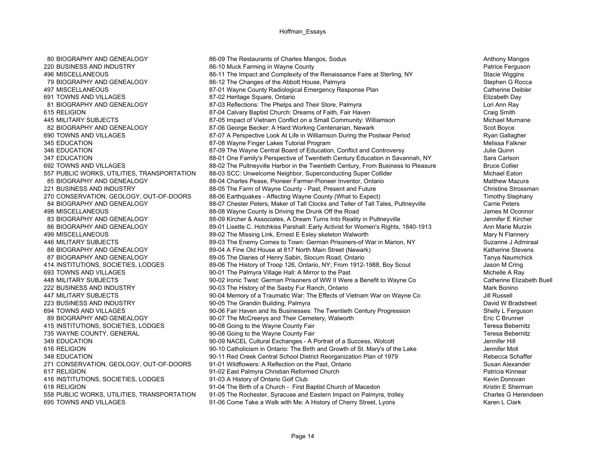416 INSTITUTIONS, SOCIETIES, LODGES 91-03 A History of Ontario Golf Club

80 BIOGRAPHY AND GENEALOGY 86-09 The Restaurants of Charles Mangos, Sodus Anthony Mangos Anthony Mangos 220 BUSINESS AND INDUSTRY **86-10 Muck Farming in Wayne County** Patrice Faire at Sterling NY **Patrice Ferguson**<br>86-11 The Impact and Complexity of the Renaissance Faire at Sterling NY **Stacie Wiggins** Stacie Wiggins 496 MISCELLANEOUS 86-11 The Impact and Complexity of the Renaissance Faire at Sterling, NY 79 BIOGRAPHY AND GENEALOGY **86-12** The Changes of the Abbott House, Palmyra Stephen G Rocca Stephen G Rocca 497 MISCELLANEOUS **87-01 Wayne County Radiological Emergency Response Plan** Catherine Deibler 691 TOWNS AND VILLAGES 87-02 Heritage Square, Ontario Elizabeth Day 81 BIOGRAPHY AND GENEALOGY 87-03 Reflections: The Phelps and Their Store, Palmyra Lori Ann Ray 615 RELIGION 87-04 Calvary Baptist Church: Dreams of Faith, Fair Haven Craig Smith 445 MILITARY SUBJECTS **87-05 Impact of Vietnam Conflict on a Small Community: Williamson** Michael Murnane Michael Murnane<br>87-06 George Becker: A Hard Working Centenarian, Newark Mexics and Michael More Scot Boyce 87-06 George Becker: A Hard Working Centenarian, Newark 690 TOWNS AND VILLAGES **87-07 A Perspective Look At Life in Williamson During the Postwar Period** Ryan Gallagher 345 EDUCATION 87-08 Wayne Finger Lakes Tutorial Program 87-08 Wayne Finger Lakes Tutorial Program 1997 346 EDUCATION 87-09 The Wayne Central Board of Education, Conflict and Controversy 1995 and Culie Quinn 347 EDUCATION 88-01 One Family's Perspective of Twentieth Century Education in Savannah, NY Sara Carlson 692 TOWNS AND VILLAGES **88-02 The Pultneyville Harbor in the Twentieth Century, From Business to Pleasure** Bruce Collier 557 PUBLIC WORKS, UTILITIES, TRANSPORTATION 88-03 SCC: Unwelcome Neighbor, Superconducting Super Collider Michael Eaton<br>88-04 Charles Pease, Pioneer Farmer-Pioneer Inventor, Ontario Macculling Super Matthew Mazur Matthew M 88-04 Charles Pease, Pioneer Farmer-Pioneer Inventor, Ontario Matthew Matthew Mazura 221 BUSINESS AND INDUSTRY **88-05 The Farm of Wayne County - Past, Present and Future** Christine Strossman 270 CONSERVATION, GEOLOGY, OUT-OF-DOORS 88-06 Earthquakes - Affecting Wayne County (What to Expect) The Stephany Timothy Stephany 84 BIOGRAPHY AND GENEALOGY 88-07 Chester Peters, Maker of Tall Clocks and Teller of Tall Tales, Pultneyville Carrie Peters 498 MISCELLANEOUS **1988** MISCELLANEOUS **88-08 Wayne County is Driving the Drunk Off the Road** James M Oconnor 83 BIOGRAPHY AND GENEALOGY **88-09 Kircher & Associates, A Dream Turns Into Reality in Pultneyville** Jennifer E Kircher 86 BIOGRAPHY AND GENEALOGY **89-01 Lisette C. Hotchkiss Parshall: Early Activist for Women's Rights, 1840-1913** Ann Marie Murzin 499 MISCELLANEOUS **89-02 The Missing Link, Ernest E** Esley skeleton Walworth Mary N Flannery Mary N Flannery Mary N 446 MILITARY SUBJECTS **89-03 The Enemy Comes to Town: German Prisoners-of War in Marion, NY** Suzanne J Admiraal 88 BIOGRAPHY AND GENEALOGY **89-04 A Fine Old House at 817 North Main Street (Newark)** Manuscript Astherine Stevens 87 BIOGRAPHY AND GENEALOGY **89-05** The Diaries of Henry Sabin, Slocum Road, Ontario Tranya Naumchick Tanya Naumchick 414 INSTITUTIONS, SOCIETIES, LODGES 89-06 The History of Troop 126, Ontario, NY; From 1912-1988, Boy Scout Jason M Cring 693 TOWNS AND VILLAGES **693 TOWNS AND VILLAGES** 90-01 The Palmyra Village Hall: A Mirror to the Past 448 MILITARY SUBJECTS **1990-02 Ironic Twist: German Prisoners of WW II Were a Benefit to Wayne Co** Catherine Elizabeth Buell 222 BUSINESS AND INDUSTRY **100-03 The History of the Saxby Fur Ranch**, Ontario 1000 Mark Bonino Mark Bonino 447 MILITARY SUBJECTS **1990-04 Memory of a Traumatic War: The Effects of Vietnam War on Wayne Co** Jill Russell 223 BUSINESS AND INDUSTRY **1000 ST ACCORD 100-05 The Grandin Building, Palmyra** David W Bradstreet **David W Bradstreet** 694 TOWNS AND VILLAGES 90-06 Fair Haven and Its Businesses: The Twentieth Century Progression Shelly L Ferguson<br>89 BIOGRAPHY AND GENEALOGY 90-07 The McCreerys and Their Cemetery. Walworth 89 BIOGRAPHY AND GENEALOGY 90-07 The McCreerys and Their Cemetery, Walworth 415 INSTITUTIONS, SOCIETIES, LODGES 90-08 Going to the Wayne County Fair Teresa Bebernitz 735 WAYNE COUNTY, GENERAL THE SERVICE SERVICE ON SOLID SERVICE OUNTY FAIR ONLY THE SERVICE ON SUGGET A SUGGETY<br>1999 SERVICE ON THE SERVICE CONTRIBUTION SERVICE ON SUGGETY OF SUGGETHE SERVICE ON SUGGETHE SUGGETHE SUGGETHER<br> 90-09 NACEL Cultural Exchanges - A Portrait of a Success, Wolcott 616 RELIGION 90-10 Catholicism in Ontario: The Birth and Growth of St. Mary's of the Lake Jennifer Moll 348 EDUCATION 90-11 Red Creek Central School District Reorganization Plan of 1979 Rebecca Schaffer 271 CONSERVATION, GEOLOGY, OUT-OF-DOORS 91-01 Wildflowers: A Reflection on the Past, Ontario Susan Alexander Susan Alexander 617 RELIGION 91-02 East Palmyra Christian Reformed Church<br>1919 - 1910 91-03 A History of Ontario Golf Club<br>1920 - 1910 91-03 A History of Ontario Golf Club 618 RELIGION 91-04 The Birth of a Church - First Baptist Church of Macedon Kristin E Sherman 558 PUBLIC WORKS, UTILITIES, TRANSPORTATION 91-05 The Rochester, Syracuse and Eastern Impact on Palmyra, trolley Charles Charles G Herendeen<br>695 TOWNS AND VILLAGES Carl Clark 91-06 Come Take a Walk with Me: A History of Ch 91-06 Come Take a Walk with Me: A History of Cherry Street, Lyons Karen Liston and The Clark Karen L Clark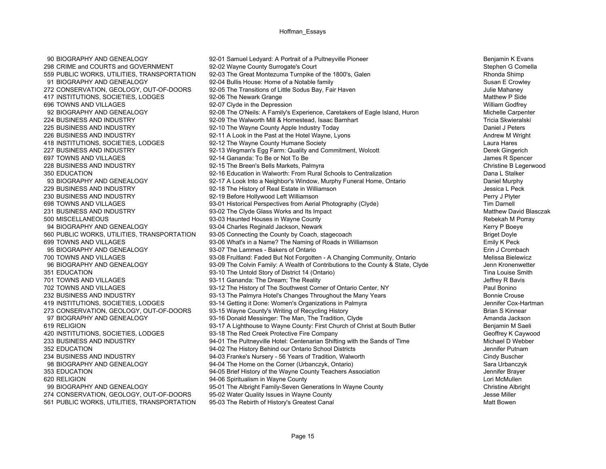90 BIOGRAPHY AND GENEALOGY **92-01 Samuel Ledyard: A Portrait of a Pultneyville Pioneer 1999 1999** Benjamin K Evans 417 INSTITUTIONS, SOCIETIES, LODGES 92-06 The Newark Grange 560 PUBLIC WORKS, UTILITIES, TRANSPORTATION 93-05 Connecting the County by Coach, stagecoach 561 PUBLIC WORKS, UTILITIES, TRANSPORTATION

298 CRIME and COURTS and GOVERNMENT 92-02 Wayne County Surrogate's Court 300's. Galen 1800's Court Stephen G Comella<br>2019 PUBLIC WORKS, UTILITIES, TRANSPORTATION 92-03 The Great Montezuma Turnpike of the 1800's. Galen 559 PUBLIC WORKS, UTILITIES, TRANSPORTATION 92-03 The Great Montezuma Turnpike of the 1800's, Galen 91 BIOGRAPHY AND GENEALOGY 92-04 Bullis House: Home of a Notable family 91 BIOGRAPHY AND GENEALOGY 272 CONSERVATION, GEOLOGY, OUT-OF-DOORS 92-05 The Transitions of Little Sodus Bay, Fair Haven 2014 CONSERVATION, SOCIETIES. LODGES 92-06 The Newark Grange 2014 Fransitions of Little Sodus Bay, Fair Haven 30 100 100 100 100 696 TOWNS AND VILLAGES **696 TOWNS AND VILLAGES** 92-07 Clyde in the Depression **And Account 2008** 2012 12:07 TOWNS AND William Godfrey 92 BIOGRAPHY AND GENEALOGY 92-08 The O'Neils: A Family's Experience, Caretakers of Eagle Island, Huron Michelle Carpenter 224 BUSINESS AND INDUSTRY **12.24 BUSINESS AND INDUSTRY** 192-09 The Walworth Mill & Homestead, Isaac Barnhart 1920 225 BUSINESS AND INDUSTRY **120-10 The Wayne County Apple Industry Today** 10 The Wayne County Apple Industry Today 226 BUSINESS AND INDUSTRY **1200 BUSINESS** AND INDUSTRY 1000 BY 11 A Look in the Past at the Hotel Wayne, Lyons 418 INSTITUTIONS, SOCIETIES, LODGES 92-12 The Wayne County Humane Society Laura Hares 227 BUSINESS AND INDUSTRY **1227 BUSINESS AND INDUSTRY** 92-13 Wegman's Egg Farm: Quality and Commitment, Wolcott 697 TOWNS AND VILLAGES **1992-14 Gananda:** To Be or Not To Be 30 and 50 years and 50 years R Spencer 228 BUSINESS AND INDUSTRY **92-15 The Breen's Bells Markets, Palmyra** Christine B Legerwood Christine B Legerwood 350 EDUCATION 92-16 Education in Walworth: From Rural Schools to Centralization Dana L Stalker93 BIOGRAPHY AND GENEALOGY **1920 1920 19217 A Look Into a Neighbor's Window**, Murphy Funeral Home, Ontario **Daniel Murphy** 229 BUSINESS AND INDUSTRY **1989 CONTAINED A SET A SET A SET A SET A** 1992-18 The History of Real Estate in Williamson 230 BUSINESS AND INDUSTRY **1988 CONTRAGES AND INDUSTRY** 92-19 Before Hollywood Left Williamson 698 TOWNS AND VILLAGES 698 TOWNS AND VILLAGES 93-01 Historical Perspectives from Aerial Photography (Clyde) 698 TOWNS AND Tim Darnell<br>1939-02 The Clyde Glass Works and Its Impact 60 Tyde (Clyde Olass Works and Its Impact 23-02 The Clyde Glass Works and Its Impact New York 2012 10:00 National Matthew David Blasczak 500 MISCELLANEOUS 93-03 Haunted Houses in Wayne County Rebekah M Porray 94 BIOGRAPHY AND GENEALOGY 93-04 Charles Reginald Jackson, Newark Kerry P Boeye<br>Kang PUBLIC WORKS, UTILITIES, TRANSPORTATION 93-05 Connecting the County by Coach, stagecoach 699 TOWNS AND VILLAGES 93-06 What's in a Name? The Naming of Roads in Williamson Emily K Peck 95 BIOGRAPHY AND GENEALOGY **93-07 The Lammes - Bakers of Ontario Example 2018** 2019 12 Crombach 700 TOWNS AND VILLAGES 93-08 Fruitland: Faded But Not Forgotten - A Changing Community, Ontario Melissa Bielewicz 96 BIOGRAPHY AND GENEALOGY 93-09 The Colvin Family: A Wealth of Contributions to the County & State, Clyde Jenn Kronenwetter 351 EDUCATION 93-10 The Untold Story of District 14 (Ontario) Tina Louise Smith 701 TOWNS AND VILLAGES **1999 CONTAINGLY 1201 CONTAINS AND SEAM** STATES 1999-11 Gananda: The Dream; The Reality Jeffrey R Bavis Jeffrey R Bavis 702 TOWNS AND VILLAGES 93-12 The History of The Southwest Corner of Ontario Center, NY Paul Bonino 232 BUSINESS AND INDUSTRY **1232 BUSINESS AND INDUSTRY** 93-13 The Palmyra Hotel's Changes Throughout the Many Years 419 INSTITUTIONS, SOCIETIES, LODGES 93-14 Getting it Done: Women's Organizations in Palmyra Jennifer Cox-Hartman 273 CONSERVATION, GEOLOGY, OUT-OF-DOORS 93-15 Wayne County's Writing of Recycling History 2014<br>193-16 Donald Messinger: The Man. The Tradition. Clyde 197 BIOGRAPHY AND GENEALOGY 93-16 Donald Messinger: The 93-16 Donald Messinger: The Man, The Tradition, Clyde **Amanda And Tradition**, Clyde Amanda Jackson 619 RELIGION **198-17 A Lighthouse to Wayne County: First Church of Christ at South Butler** Benjamin M Saeli 420 INSTITUTIONS, SOCIETIES, LODGES 860 193-18 The Red Creek Protective Fire Company<br>233 BUSINESS AND INDUSTRY 194-01 The Pultneyville Hotel: Centenarian Shifting with the Sands of Time 194-01 Michael D Webber 233 BUSINESS AND INDUSTRY 94-01 The Pultneyville Hotel: Centenarian Shifting with the Sands of Time 352 EDUCATION 94-02 The History Behind our Ontario School Districts 352 EDUCATION 96-02 Jennifer Putnam 234 BUSINESS AND INDUSTRY 94-03 Franke's Nursery - 56 Years of Tradition, Walworth Cindy Buscher 98 BIOGRAPHY AND GENEALOGY 94-04 The Home on the Corner (Urbanczyk, Ontario) Sara Urbanczyk 353 EDUCATION 94-05 Brief History of the Wayne County Teachers Association Jennifer Brayer 94-06 Spiritualism in Wayne County 99 BIOGRAPHY AND GENEALOGY **195-01 The Albright Family-Seven Generations In Wayne County** 199 BIOGRAPHY AND Ghristine Albright 274 CONSERVATION, GEOLOGY, OUT-OF-DOORS 95-02 Water Quality Issues in Wayne County<br>1991 PUBLIC WORKS, UTILITIES, TRANSPORTATION 95-03 The Rebirth of History's Greatest Canal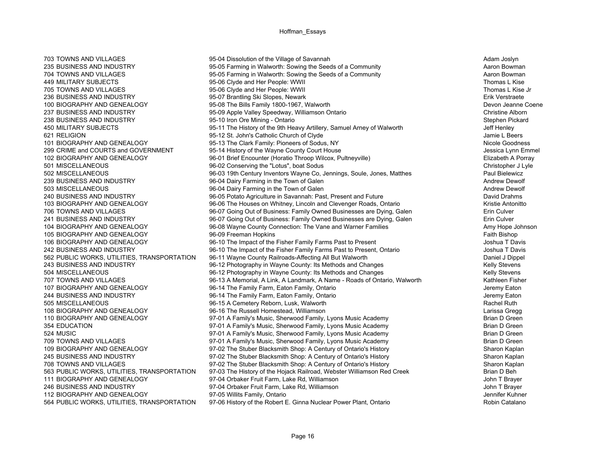100 BIOGRAPHY AND GENEALOGY 95-08 The Bills Family 1800-1967, Walworth

703 TOWNS AND VILLAGES **1999 TOWNS AND VILLAGES** 95-04 Dissolution of the Village of Savannah 703 TOWNS And Adam Joslyn 235 BUSINESS AND INDUSTRY **1235 BUSINESS AND INDUSTRY** 95-05 Farming in Walworth: Sowing the Seeds of a Community 704 TOWNS AND VILLAGES 95-05 Farming in Walworth: Sowing the Seeds of a Community Aaron Bowman A 449 MILITARY SUBJECTS And Thomas L Kise 95-06 Clyde and Her People: WWII Thomas L Kise 1996 Thomas L Kise 705 TOWNS AND VILLAGES TOWN AND STREET AND A SUIT A 195-06 Clyde and Her People: WWII THOMAS AND Thomas L Kise Jr<br>195-07 Brantling Ski Slopes Newark Thomas Street And Thomas L Kise Jr (Frik Verstraete And Thomas L Kise Jr 236 BUSINESS AND INDUSTRY **195-07 Brantling Ski Slopes, Newark** 100 BUSINESS AND INDUSTRY 100 BIOGRAPHY AND GENE<br>100 BIOGRAPHY AND GENEAL OGY 195-08 The Bills Family 1800-1967 Walworth 1970 1989 1999 The Volume Coene 237 BUSINESS AND INDUSTRY **100 CHARGES AND INDUSTRY** 95-09 Apple Valley Speedway, Williamson Ontario Christine Alborn 238 BUSINESS AND INDUSTRY **1992 10 100 Stephen Pickard** 95-10 Iron Ore Mining - Ontario 2016 And and a Stephen Pickard<br>195-11 The History of the 9th Heavy Artillery, Samuel Arney of Walworth 1996 1996 1997 Jeff Henley 450 MILITARY SUBJECTS 95-11 The History of the 9th Heavy Artillery, Samuel Arney of Walworth 450 MILITARY SUBJECTS 621 RELIGION **195-12 St. John's Catholic Church of Clyde** 1954 1965 12 St. John's Catholic Church of Clyde 101 BIOGRAPHY AND GENEALOGY 95-13 The Clark Family: Pioneers of Sodus, NY Nicole Goodness Nicole Goodness 299 CRIME and COURTS and GOVERNMENT 95-14 History of the Wayne County Court House Jessica Lynn Emmel 102 BIOGRAPHY AND GENEALOGY 96-01 Brief Encounter (Horatio Throop Wilcox, Pultneyville) Elizabeth A Porray 501 MISCELLANEOUS 96-02 Conserving the "Lotus", boat Sodus Christopher J Lyle 502 MISCELLANEOUS 96-03 19th Century Inventors Wayne Co, Jennings, Soule, Jones, Matthes Paul Bielewicz 239 BUSINESS AND INDUSTRY **1999** 96-04 Dairy Farming in the Town of Galen Andrew Dewolf Andrew Dewolf 503 MISCELLANEOUS **1998-04 Dairy Farming in the Town of Galen** Andrew Dewolf Andrew Dewolf 240 BUSINESS AND INDUSTRY 96-05 Potato Agriculture in Savannah: Past, Present and Future David Drahms 103 BIOGRAPHY AND GENEALOGY 96-06 The Houses on Whitney, Lincoln and Clevenger Roads, Ontario Kristie Antonitto 706 TOWNS AND VILLAGES **196-07 Going Out of Business: Family Owned Businesses are Dying, Galen** Erin Culver 241 BUSINESS AND INDUSTRY **196-07 Going Out of Business: Family Owned Businesses are Dying, Galen** Erin Culver 104 BIOGRAPHY AND GENEALOGY 96-08 Wayne County Connection: The Vane and Warner Families 1964 Many Hope Johnson 105 BIOGRAPHY AND GENEALOGY 96-09 Freeman Hopkins Faith Bishop 106 BIOGRAPHY AND GENEALOGY 96-10 The Impact of the Fisher Family Farms Past to Present Joshua T Davis 242 BUSINESS AND INDUSTRY 96-10 The Impact of the Fisher Family Farms Past to Present, Ontario Joshua T Davis 562 PUBLIC WORKS, UTILITIES, TRANSPORTATION 96-11 Wayne County Railroads-Affecting All But Walworth Daniel J Dippel 243 BUSINESS AND INDUSTRY **196-12 Photography in Wayne County: Its Methods and Changes** 1965 12 Relly Stevens 504 MISCELLANEOUS 60-12 Photography in Wayne County: Its Methods and Changes 60-12 Kelly Stevens 707 TOWNS AND VILLAGES **1968** 96-13 A Memorial, A Link, A Landmark, A Name - Roads of Ontario, Walworth Kathleen Fisher 107 BIOGRAPHY AND GENEALOGY 96-14 The Family Farm, Eaton Family, Ontario 1997 1998 1999 Jeremy Eaton 244 BUSINESS AND INDUSTRY **196-14 The Family Farm, Eaton Family, Ontario** 1964 1978 1988 1989 1989 1989 1989 198 505 MISCELLANEOUS **1998** 96-15 A Cemetery Reborn, Lusk, Walworth **1996** 15 A Cemetery Reborn, Lusk, Walworth Rachel Ruth 108 BIOGRAPHY AND GENEALOGY 96-16 The Russell Homestead, Williamson<br>110 BIOGRAPHY AND GENEALOGY 97-01 A Family's Music. Sherwood Family. Lvons Music Academy Brian D Green 110 BIOGRAPHY AND GENEALOGY 97-01 A Family's Music, Sherwood Family, Lyons Music Academy 354 EDUCATION 97-01 A Family's Music, Sherwood Family, Lyons Music Academy 97-01 A Family, Lyons Music Academy 524 MUSIC 97-01 A Family's Music, Sherwood Family, Lyons Music Academy Brian D Green 97-01 A Family's Music, Sherwood Family, Lyons Music Academy **Brian D Green** Brian D Green 109 BIOGRAPHY AND GENEALOGY 97-02 The Stuber Blacksmith Shop: A Century of Ontario's History Sharon Kaplan 245 BUSINESS AND INDUSTRY **1245 BUSINESS** AND INDUSTRY 197-02 The Stuber Blacksmith Shop: A Century of Ontario's History 708 TOWNS AND VILLAGES 81 THE 97-02 The Stuber Blacksmith Shop: A Century of Ontario's History 708 TOWNS AND WILLAGES<br>1970 - The History of the History of the Hojack Railroad. Webster Williamson Red Creek 1986 1999 - Brian 563 PUBLIC WORKS, UTILITIES, TRANSPORTATION 97-03 The History of the Hojack Railroad, Webster Williamson Red Creek 111 BIOGRAPHY AND GENEALOGY 97-04 Orbaker Fruit Farm, Lake Rd, Williamson 1997-04 Orbaker Fruit Farm, Lake Rd, Williamson 246 BUSINESS AND INDUSTRY THE STATE STATE OF STATE STATE STATE STATE STATE STATE STATE STATE STATE STATE STATE 112 BIOGRAPHY AND GENEALOGY 97-05 Willits Family, Ontario 12 BIOGRAPHY AND GENEALOGY 97-05 Willits Family, Ontario<br>1970 1981 The Role of Gatalano 1970 And The Robert F. Ginna Nuclear Power Plant Ontario 1970 Robin Catalano 564 PUBLIC WORKS, UTILITIES, TRANSPORTATION 97-06 History of the Robert E. Ginna Nuclear Power Plant, Ontario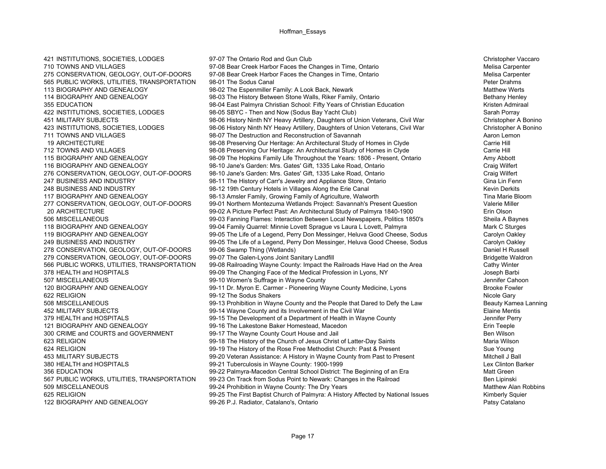622 RELIGION 99-12 The Sodus Shakers

421 INSTITUTIONS, SOCIETIES, LODGES 97-07 The Ontario Rod and Gun Club Christopher Vaccaro 710 TOWNS AND VILLAGES **197-08 Bear Creek Harbor Faces the Changes in Time, Ontario** Melisa Carpenter Melisa Carpenter 275 CONSERVATION, GEOLOGY, OUT-OF-DOORS 97-08 Bear Creek Harbor Faces the Changes in Time, Ontario Melisa Carpenter Melisa Carpenter 565 PUBLIC WORKS, UTILITIES, TRANSPORTATION 98-01 The Sodus Canal Peter Drahms 113 BIOGRAPHY AND GENEALOGY **12 BIOGRAPHY AND GENEALOGY** 98-02 The Espenmiller Family: A Look Back, Newark Matthew Method Matthew Werts 114 BIOGRAPHY AND GENEALOGY **12 CHOOSE 12 CONSUMENT AND SETAILM STORY 12 CONSUMENT AND SET AND RETAILMY HET ARE** 355 EDUCATION 68 Matter of the Superior of the State Palmyra Christian School: Fifty Years of Christian Education 66 Matter Admiraal Kristen Admiraal 422 INSTITUTIONS, SOCIETIES, LODGES 98-05 SBYC - Then and Now (Sodus Bay Yacht Club) Sarah Porray 451 MILITARY SUBJECTS 98-06 History Ninth NY Heavy Artillery, Daughters of Union Veterans, Civil War Christopher A Bonino 423 INSTITUTIONS, SOCIETIES, LODGES 98-06 History Ninth NY Heavy Artillery, Daughters of Union Veterans, Civil War Christopher A Bonino 711 TOWNS AND VILLAGES **198-07 The Destruction and Reconstruction of Savannah** Aaron Lemon Aaron Lemon 19 ARCHITECTURE 98-08 Preserving Our Heritage: An Architectural Study of Homes in Clyde Carrie Hill 712 TOWNS AND VILLAGES 98-08 Preserving Our Heritage: An Architectural Study of Homes in Clyde Carrie Hill 115 BIOGRAPHY AND GENEALOGY 98-09 The Hopkins Family Life Throughout the Years: 1806 - Present, Ontario Amy Abbott 116 BIOGRAPHY AND GENEALOGY 98-10 Jane's Garden: Mrs. Gates' Gift, 1335 Lake Road, Ontario Craig Wilfert 276 CONSERVATION, GEOLOGY, OUT-OF-DOORS 98-10 Jane's Garden: Mrs. Gates' Gift, 1335 Lake Road, Ontario Craig Wilfert 247 BUSINESS AND INDUSTRY **198-11 The History of Carr's Jewelry and Appliance Store, Ontario** 198-11 The History of Carr's Jewelry and Appliance Store, Ontario 248 BUSINESS AND INDUSTRY **19th Accord 12 19th Century Hotels in Villages Along the Erie Canal** 19th Century Hotels in Villages Along the Erie Canal 19th Century Hotels in Villages Along the Erie Canal 19th Century Hotels 117 BIOGRAPHY AND GENEALOGY **12000** 98-13 Amsler Family, Growing Family of Agriculture, Walworth The Marie Bloom 277 CONSERVATION, GEOLOGY, OUT-OF-DOORS 99-01 Northern Montezuma Wetlands Project: Savannah's Present Question Valerie Miller 20 ARCHITECTURE 99-02 A Picture Perfect Past: An Architectural Study of Palmyra 1840-1900 Erin Olson 506 MISCELLANEOUS 99-03 Fanning Flames: Interaction Between Local Newspapers, Politics 1850's Sheila A Baynes 118 BIOGRAPHY AND GENEALOGY **12 CHADRA CONTABLE 1200** 99-04 Family Quarrel: Minnie Lovett Sprague vs Laura L Lovett. Palmyra 118 BIOGRAPHY AND GENEALOGY 119 BIOGRAPHY AND GENEALOGY 99-05 The Life of a Legend, Perry Don Messinger, Heluva Good Cheese, Sodus Carolyn Oakley 249 BUSINESS AND INDUSTRY 99-05 The Life of a Legend, Perry Don Messinger, Heluva Good Cheese, Sodus Carolyn Oakley 278 CONSERVATION, GEOLOGY, OUT-OF-DOORS 99-06 Swamp Thing (Wetlands) 278 CONSERVATION, GEOLOGY, OUT-OF-DOORS 99-06 Swamp Thing (Wetlands) 279 CONSERVATION, GEOLOGY, OUT-OF-DOORS 99-07 The Galen-Lyons Joint Sanitary Landfill Bridgette Waldron Bridgette Waldron 566 PUBLIC WORKS, UTILITIES, TRANSPORTATION 99-08 Railroading Wayne County: Impact the Railroads Have Had on the Area Cathy Winter 378 HEALTH and HOSPITALS **199-09 The Changing Face of the Medical Profession in Lyons, NY** 199-09 The Changing Face of the Medical Profession in Lyons, NY 507 MISCELLANEOUS **199-10 Women's Suffrage in Wayne County** 199-10 Women's Suffrage in Wayne County 120 BIOGRAPHY AND GENEALOGY 99-11 Dr. Myron E. Carmer - Pioneering Wayne County Medicine, Lyons Brooke Fowler 508 MISCELLANEOUS 99-13 Prohibition in Wayne County and the People that Dared to Defy the Law Beauty Kamea Lanning 452 MILITARY SUBJECTS (Saine Mentis 199-14 Wayne County and its Involvement in the Civil War 199-15 The Develop<br>379 HEALTH and HOSPITALS (39-15 The Development of a Department of Health in Wayne County 379 HEALTH and HOSPITALS 99-15 The Development of a Department of Health in Wayne County 121 BIOGRAPHY AND GENEALOGY **120 STAR AND SET AND SET ASSESS** 99-16 The Lakestone Baker Homestead, Macedon **Example** Erin Teeple 300 CRIME and COURTS and GOVERNMENT 99-17 The Wayne County Court House and Jail<br>623 RELIGION 99-18 The History of the Church of Jesus Christ of Latter-Day Saints 600 Maria Wilson 99-18 The History of the Church of Jesus Christ of Latter-Day Saints Mathematic Mulson Maria Wilson 624 RELIGION 69-19 The History of the Rose Free Methodist Church: Past & Present 614 Church: Past & Present Sue Young 453 MILITARY SUBJECTS 99-20 Veteran Assistance: A History in Wayne County from Past to Present Mitchell J Ball 380 HEALTH and HOSPITALS **1990 120 SET ALCO 1999** 199-21 Tuberculosis in Wayne County: 1900-1999 356 EDUCATION 99-22 Palmyra-Macedon Central School District: The Beginning of an Era Matt Green 567 PUBLIC WORKS, UTILITIES, TRANSPORTATION 99-23 On Track from Sodus Point to Newark: Changes in the Railroad Ben Lipinski 509 MISCELLANEOUS **609-100 MISCELLANEOUS** 99-24 Prohibition in Wayne County: The Dry Years Matthew Alan Robbins Matthew Alan Robbins 625 RELIGION 99-25 The First Baptist Church of Palmyra: A History Affected by National Issues Kimberly Squier<br>122 BIOGRAPHY AND GENEALOGY 99-26 P.J. Radiator, Catalano's, Ontario 99-26 P.J. Radiator, Catalano's, Ontario

Nicole Gary